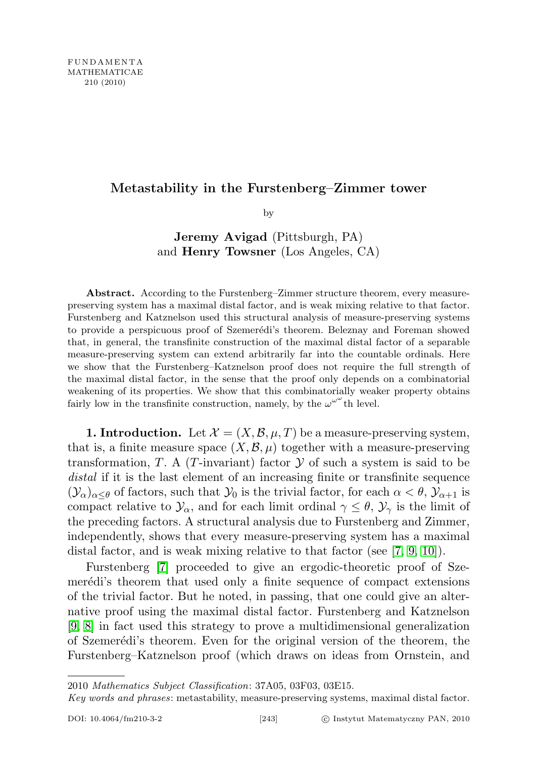## Metastability in the Furstenberg–Zimmer tower

by

Jeremy Avigad (Pittsburgh, PA) and Henry Towsner (Los Angeles, CA)

Abstract. According to the Furstenberg–Zimmer structure theorem, every measurepreserving system has a maximal distal factor, and is weak mixing relative to that factor. Furstenberg and Katznelson used this structural analysis of measure-preserving systems to provide a perspicuous proof of Szemerédi's theorem. Beleznay and Foreman showed that, in general, the transfinite construction of the maximal distal factor of a separable measure-preserving system can extend arbitrarily far into the countable ordinals. Here we show that the Furstenberg–Katznelson proof does not require the full strength of the maximal distal factor, in the sense that the proof only depends on a combinatorial weakening of its properties. We show that this combinatorially weaker property obtains fairly low in the transfinite construction, namely, by the  $\omega^{\omega^{\omega}}$  th level.

**1. Introduction.** Let  $\mathcal{X} = (X, \mathcal{B}, \mu, T)$  be a measure-preserving system, that is, a finite measure space  $(X, \mathcal{B}, \mu)$  together with a measure-preserving transformation, T. A (T-invariant) factor  $\mathcal Y$  of such a system is said to be distal if it is the last element of an increasing finite or transfinite sequence  $(\mathcal{Y}_\alpha)_{\alpha<\theta}$  of factors, such that  $\mathcal{Y}_0$  is the trivial factor, for each  $\alpha<\theta$ ,  $\mathcal{Y}_{\alpha+1}$  is compact relative to  $\mathcal{Y}_\alpha$ , and for each limit ordinal  $\gamma \leq \theta$ ,  $\mathcal{Y}_\gamma$  is the limit of the preceding factors. A structural analysis due to Furstenberg and Zimmer, independently, shows that every measure-preserving system has a maximal distal factor, and is weak mixing relative to that factor (see  $(7, 9, 10)$  $(7, 9, 10)$  $(7, 9, 10)$ ).

Furstenberg [\[7\]](#page-24-0) proceeded to give an ergodic-theoretic proof of Szemerédi's theorem that used only a finite sequence of compact extensions of the trivial factor. But he noted, in passing, that one could give an alternative proof using the maximal distal factor. Furstenberg and Katznelson [\[9,](#page-24-1) [8\]](#page-24-3) in fact used this strategy to prove a multidimensional generalization of Szemerédi's theorem. Even for the original version of the theorem, the Furstenberg–Katznelson proof (which draws on ideas from Ornstein, and

<sup>2010</sup> Mathematics Subject Classification: 37A05, 03F03, 03E15.

Key words and phrases: metastability, measure-preserving systems, maximal distal factor.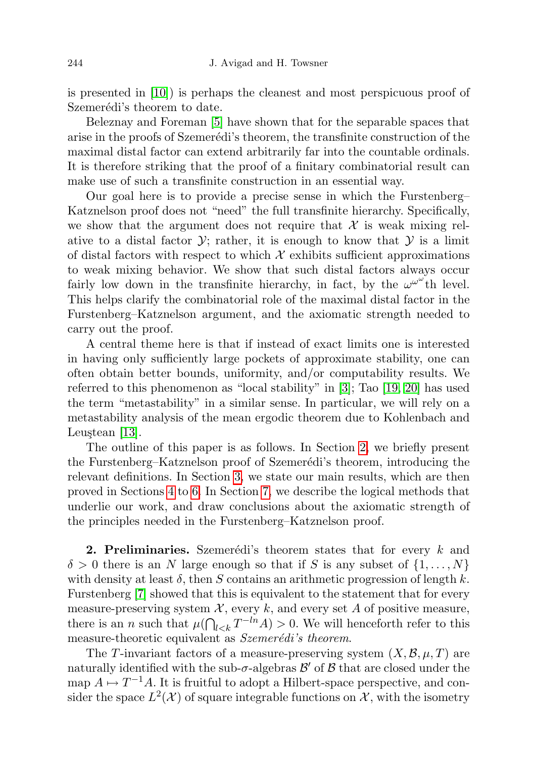is presented in [\[10\]](#page-24-2)) is perhaps the cleanest and most perspicuous proof of Szemerédi's theorem to date.

Beleznay and Foreman [\[5\]](#page-24-4) have shown that for the separable spaces that arise in the proofs of Szemerédi's theorem, the transfinite construction of the maximal distal factor can extend arbitrarily far into the countable ordinals. It is therefore striking that the proof of a finitary combinatorial result can make use of such a transfinite construction in an essential way.

Our goal here is to provide a precise sense in which the Furstenberg– Katznelson proof does not "need" the full transfinite hierarchy. Specifically, we show that the argument does not require that  $\mathcal X$  is weak mixing relative to a distal factor  $\mathcal{Y}$ ; rather, it is enough to know that  $\mathcal{Y}$  is a limit of distal factors with respect to which  $\mathcal X$  exhibits sufficient approximations to weak mixing behavior. We show that such distal factors always occur fairly low down in the transfinite hierarchy, in fact, by the  $\omega^{\omega^{\omega}}$ th level. This helps clarify the combinatorial role of the maximal distal factor in the Furstenberg–Katznelson argument, and the axiomatic strength needed to carry out the proof.

A central theme here is that if instead of exact limits one is interested in having only sufficiently large pockets of approximate stability, one can often obtain better bounds, uniformity, and/or computability results. We referred to this phenomenon as "local stability" in [\[3\]](#page-24-5); Tao [\[19,](#page-25-0) [20\]](#page-25-1) has used the term "metastability" in a similar sense. In particular, we will rely on a metastability analysis of the mean ergodic theorem due to Kohlenbach and Leuștean [\[13\]](#page-24-6).

The outline of this paper is as follows. In Section [2,](#page-1-0) we briefly present the Furstenberg–Katznelson proof of Szemerédi's theorem, introducing the relevant definitions. In Section [3,](#page-5-0) we state our main results, which are then proved in Sections [4](#page-8-0) to [6.](#page-13-0) In Section [7,](#page-21-0) we describe the logical methods that underlie our work, and draw conclusions about the axiomatic strength of the principles needed in the Furstenberg–Katznelson proof.

<span id="page-1-0"></span>**2. Preliminaries.** Szemerédi's theorem states that for every  $k$  and  $\delta > 0$  there is an N large enough so that if S is any subset of  $\{1, \ldots, N\}$ with density at least  $\delta$ , then S contains an arithmetic progression of length k. Furstenberg [\[7\]](#page-24-0) showed that this is equivalent to the statement that for every measure-preserving system  $\mathcal{X}$ , every k, and every set A of positive measure, there is an *n* such that  $\mu(\bigcap_{l \leq k} T^{-ln} A) > 0$ . We will henceforth refer to this measure-theoretic equivalent as Szemerédi's theorem.

The T-invariant factors of a measure-preserving system  $(X, \mathcal{B}, \mu, T)$  are naturally identified with the sub- $\sigma$ -algebras  $\mathcal{B}'$  of  $\mathcal{B}$  that are closed under the map  $A \mapsto T^{-1}A$ . It is fruitful to adopt a Hilbert-space perspective, and consider the space  $L^2(\mathcal{X})$  of square integrable functions on  $\mathcal{X}$ , with the isometry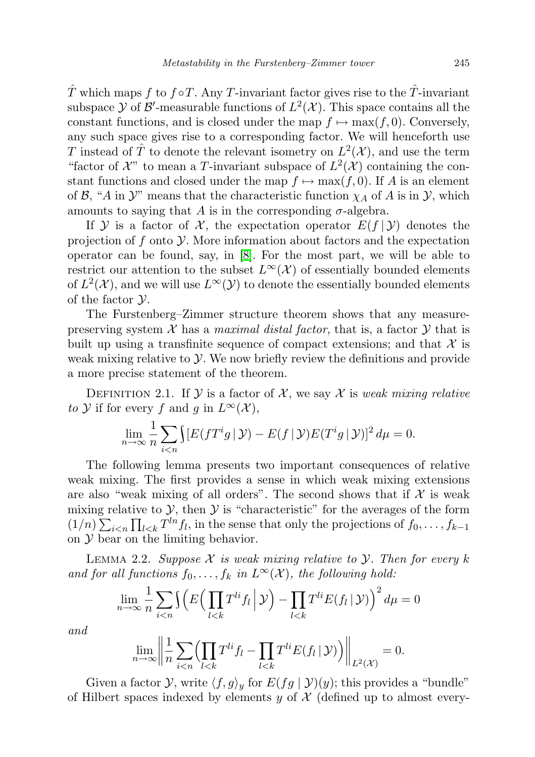T which maps f to  $f \circ T$ . Any T-invariant factor gives rise to the T-invariant subspace  $\mathcal Y$  of  $\mathcal B'$ -measurable functions of  $L^2(\mathcal X)$ . This space contains all the constant functions, and is closed under the map  $f \mapsto \max(f, 0)$ . Conversely, any such space gives rise to a corresponding factor. We will henceforth use T instead of  $\hat{T}$  to denote the relevant isometry on  $L^2(\mathcal{X})$ , and use the term "factor of  $\mathcal{X}$ " to mean a T-invariant subspace of  $L^2(\mathcal{X})$  containing the constant functions and closed under the map  $f \mapsto \max(f, 0)$ . If A is an element of B, "A in  $\mathcal{Y}$ " means that the characteristic function  $\chi_A$  of A is in  $\mathcal{Y}$ , which amounts to saying that A is in the corresponding  $\sigma$ -algebra.

If Y is a factor of X, the expectation operator  $E(f | Y)$  denotes the projection of f onto  $\mathcal Y$ . More information about factors and the expectation operator can be found, say, in [\[8\]](#page-24-3). For the most part, we will be able to restrict our attention to the subset  $L^{\infty}(\mathcal{X})$  of essentially bounded elements of  $L^2(\mathcal{X})$ , and we will use  $L^{\infty}(\mathcal{Y})$  to denote the essentially bounded elements of the factor Y.

The Furstenberg–Zimmer structure theorem shows that any measurepreserving system  $X$  has a *maximal distal factor*, that is, a factor  $Y$  that is built up using a transfinite sequence of compact extensions; and that  $\mathcal X$  is weak mixing relative to  $\mathcal Y$ . We now briefly review the definitions and provide a more precise statement of the theorem.

DEFINITION 2.1. If  $\mathcal Y$  is a factor of  $\mathcal X$ , we say  $\mathcal X$  is weak mixing relative to Y if for every f and g in  $L^{\infty}(\mathcal{X}),$ 

$$
\lim_{n\to\infty}\frac{1}{n}\sum_{i
$$

The following lemma presents two important consequences of relative weak mixing. The first provides a sense in which weak mixing extensions are also "weak mixing of all orders". The second shows that if  $\mathcal X$  is weak mixing relative to  $\mathcal{Y}$ , then  $\mathcal{Y}$  is "characteristic" for the averages of the form  $(1/n) \sum_{i \leq n} \prod_{l \leq k} T^{ln} f_l$ , in the sense that only the projections of  $f_0, \ldots, f_{k-1}$ on  $\mathcal Y$  bear on the limiting behavior.

<span id="page-2-0"></span>LEMMA 2.2. Suppose  $\mathcal X$  is weak mixing relative to  $\mathcal Y$ . Then for every k and for all functions  $f_0, \ldots, f_k$  in  $L^{\infty}(\mathcal{X})$ , the following hold:

$$
\lim_{n \to \infty} \frac{1}{n} \sum_{i < n} \int \left( E\left(\prod_{l < k} T^{li} f_l \, \middle| \, \mathcal{Y} \right) - \prod_{l < k} T^{li} E(f_l \, \middle| \, \mathcal{Y}) \right)^2 d\mu = 0
$$

and

$$
\lim_{n \to \infty} \left\| \frac{1}{n} \sum_{i < n} \left( \prod_{l < k} T^{li} f_l - \prod_{l < k} T^{li} E(f_l | \mathcal{Y}) \right) \right\|_{L^2(\mathcal{X})} = 0.
$$

Given a factor  $\mathcal{Y}$ , write  $\langle f, g \rangle_y$  for  $E(fg | \mathcal{Y})(y)$ ; this provides a "bundle" of Hilbert spaces indexed by elements y of  $\mathcal X$  (defined up to almost every-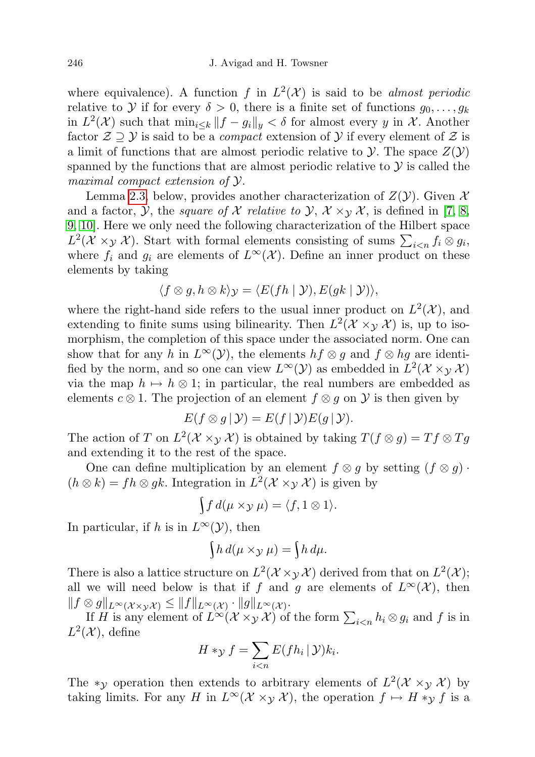where equivalence). A function f in  $L^2(\mathcal{X})$  is said to be almost periodic relative to Y if for every  $\delta > 0$ , there is a finite set of functions  $g_0, \ldots, g_k$ in  $L^2(\mathcal{X})$  such that  $\min_{i\leq k} ||f-g_i||_y < \delta$  for almost every y in X. Another factor  $\mathcal{Z} \supseteq \mathcal{Y}$  is said to be a *compact* extension of  $\mathcal{Y}$  if every element of  $\mathcal{Z}$  is a limit of functions that are almost periodic relative to  $\mathcal Y$ . The space  $Z(\mathcal Y)$ spanned by the functions that are almost periodic relative to  $\mathcal Y$  is called the maximal compact extension of Y.

Lemma [2.3,](#page-4-0) below, provides another characterization of  $Z(\mathcal{Y})$ . Given X and a factor, *Y*, the *square of X relative to Y*,  $X \times_Y X$ , is defined in [\[7,](#page-24-0) [8,](#page-24-3) [9,](#page-24-1) [10\]](#page-24-2). Here we only need the following characterization of the Hilbert space  $L^2(\mathcal{X} \times_{\mathcal{Y}} \mathcal{X})$ . Start with formal elements consisting of sums  $\sum_{i \leq n} f_i \otimes g_i$ , where  $f_i$  and  $g_i$  are elements of  $L^{\infty}(\mathcal{X})$ . Define an inner product on these elements by taking

$$
\langle f \otimes g, h \otimes k \rangle_{\mathcal{Y}} = \langle E(fh \mid \mathcal{Y}), E(gk \mid \mathcal{Y}) \rangle,
$$

where the right-hand side refers to the usual inner product on  $L^2(\mathcal{X})$ , and extending to finite sums using bilinearity. Then  $L^2(\mathcal{X} \times_{\mathcal{Y}} \mathcal{X})$  is, up to isomorphism, the completion of this space under the associated norm. One can show that for any h in  $L^{\infty}(\mathcal{Y})$ , the elements  $hf \otimes g$  and  $f \otimes hg$  are identified by the norm, and so one can view  $L^{\infty}(\mathcal{Y})$  as embedded in  $L^{2}(\mathcal{X} \times_{\mathcal{Y}} \mathcal{X})$ via the map  $h \mapsto h \otimes 1$ ; in particular, the real numbers are embedded as elements  $c \otimes 1$ . The projection of an element  $f \otimes g$  on  $\mathcal Y$  is then given by

$$
E(f \otimes g | \mathcal{Y}) = E(f | \mathcal{Y})E(g | \mathcal{Y}).
$$

The action of T on  $L^2(\mathcal{X} \times_{\mathcal{Y}} \mathcal{X})$  is obtained by taking  $T(f \otimes g) = Tf \otimes Tg$ and extending it to the rest of the space.

One can define multiplication by an element  $f \otimes g$  by setting  $(f \otimes g)$ .  $(h \otimes k) = fh \otimes gk$ . Integration in  $L^2(\mathcal{X} \times_{\mathcal{Y}} \mathcal{X})$  is given by

$$
\int f d(\mu \times y \mu) = \langle f, 1 \otimes 1 \rangle.
$$

In particular, if h is in  $L^{\infty}(\mathcal{Y})$ , then

$$
\int h \, d(\mu \times y \mu) = \int h \, d\mu.
$$

There is also a lattice structure on  $L^2(\mathcal{X} \times_{\mathcal{Y}} \mathcal{X})$  derived from that on  $L^2(\mathcal{X})$ ; all we will need below is that if f and g are elements of  $L^{\infty}(\mathcal{X})$ , then  $||f \otimes g||_{L^{\infty}(\mathcal{X} \times_{\mathcal{Y}} \mathcal{X})} \leq ||f||_{L^{\infty}(\mathcal{X})} \cdot ||g||_{L^{\infty}(\mathcal{X})}.$ 

If H is any element of  $L^{\infty}(\mathcal{X} \times_{\mathcal{Y}} \mathcal{X})$  of the form  $\sum_{i \leq n} h_i \otimes g_i$  and f is in  $L^2(\mathcal{X})$ , define

$$
H *_{\mathcal{Y}} f = \sum_{i < n} E(f h_i \, | \, \mathcal{Y}) k_i.
$$

The \*y operation then extends to arbitrary elements of  $L^2(\mathcal{X} \times_{\mathcal{Y}} \mathcal{X})$  by taking limits. For any H in  $L^{\infty}(\mathcal{X} \times_{\mathcal{Y}} \mathcal{X})$ , the operation  $f \mapsto H *_{\mathcal{Y}} f$  is a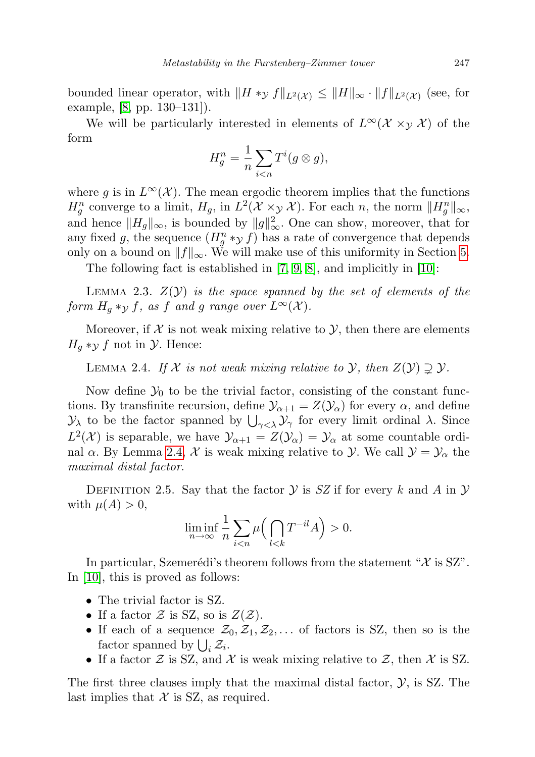bounded linear operator, with  $||H *_{\mathcal{Y}} f||_{L^2(\mathcal{X})} \leq ||H||_{\infty} \cdot ||f||_{L^2(\mathcal{X})}$  (see, for example, [\[8,](#page-24-3) pp. 130–131]).

We will be particularly interested in elements of  $L^{\infty}(\mathcal{X} \times_{\mathcal{Y}} \mathcal{X})$  of the form

$$
H_g^n = \frac{1}{n} \sum_{i < n} T^i(g \otimes g),
$$

where g is in  $L^{\infty}(\mathcal{X})$ . The mean ergodic theorem implies that the functions  $H_g^n$  converge to a limit,  $H_g$ , in  $L^2(\mathcal{X} \times_{\mathcal{Y}} \mathcal{X})$ . For each n, the norm  $||H_g^n||_{\infty}$ , and hence  $||H_g||_{\infty}$ , is bounded by  $||g||_{\infty}^2$ . One can show, moreover, that for any fixed g, the sequence  $(H_g^n *_{\mathcal{Y}} f)$  has a rate of convergence that depends only on a bound on  $||f||_{\infty}$ . We will make use of this uniformity in Section [5.](#page-11-0)

The following fact is established in [\[7,](#page-24-0) [9,](#page-24-1) [8\]](#page-24-3), and implicitly in [\[10\]](#page-24-2):

<span id="page-4-0"></span>LEMMA 2.3.  $Z(Y)$  is the space spanned by the set of elements of the form  $H_g *_{\mathcal{Y}} f$ , as f and g range over  $L^{\infty}(\mathcal{X})$ .

Moreover, if  $\mathcal X$  is not weak mixing relative to  $\mathcal Y$ , then there are elements  $H_q *_{\mathcal{Y}} f$  not in  $\mathcal{Y}$ . Hence:

<span id="page-4-1"></span>LEMMA 2.4. If X is not weak mixing relative to Y, then  $Z(Y) \supsetneq Y$ .

Now define  $\mathcal{Y}_0$  to be the trivial factor, consisting of the constant functions. By transfinite recursion, define  $\mathcal{Y}_{\alpha+1} = Z(\mathcal{Y}_{\alpha})$  for every  $\alpha$ , and define  $\mathcal{Y}_\lambda$  to be the factor spanned by  $\bigcup_{\gamma<\lambda}\mathcal{Y}_\gamma$  for every limit ordinal λ. Since  $L^2(\mathcal{X})$  is separable, we have  $\mathcal{Y}_{\alpha+1} = Z(\mathcal{Y}_{\alpha}) = \mathcal{Y}_{\alpha}$  at some countable ordinal  $\alpha$ . By Lemma [2.4,](#page-4-1) X is weak mixing relative to Y. We call  $\mathcal{Y} = \mathcal{Y}_{\alpha}$  the maximal distal factor.

DEFINITION 2.5. Say that the factor  $\mathcal Y$  is SZ if for every k and A in  $\mathcal Y$ with  $\mu(A) > 0$ ,

$$
\liminf_{n \to \infty} \frac{1}{n} \sum_{i < n} \mu\Big(\bigcap_{l < k} T^{-il} A\Big) > 0.
$$

In particular, Szemerédi's theorem follows from the statement " $\mathcal X$  is SZ". In [\[10\]](#page-24-2), this is proved as follows:

- The trivial factor is SZ.
- If a factor  $\mathcal Z$  is SZ, so is  $Z(\mathcal Z)$ .
- If each of a sequence  $\mathcal{Z}_0, \mathcal{Z}_1, \mathcal{Z}_2, \ldots$  of factors is SZ, then so is the factor spanned by  $\bigcup_i \mathcal{Z}_i$ .
- If a factor  $\mathcal Z$  is SZ, and  $\mathcal X$  is weak mixing relative to  $\mathcal Z$ , then  $\mathcal X$  is SZ.

The first three clauses imply that the maximal distal factor,  $\mathcal{Y}$ , is SZ. The last implies that  $X$  is SZ, as required.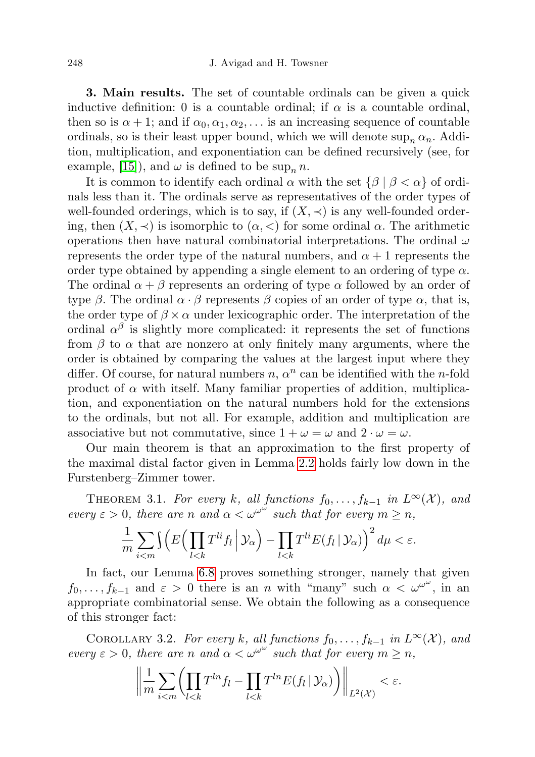<span id="page-5-0"></span>3. Main results. The set of countable ordinals can be given a quick inductive definition: 0 is a countable ordinal; if  $\alpha$  is a countable ordinal, then so is  $\alpha + 1$ ; and if  $\alpha_0, \alpha_1, \alpha_2, \ldots$  is an increasing sequence of countable ordinals, so is their least upper bound, which we will denote  $\sup_n \alpha_n$ . Addition, multiplication, and exponentiation can be defined recursively (see, for example, [\[15\]](#page-24-7)), and  $\omega$  is defined to be sup<sub>n</sub> n.

It is common to identify each ordinal  $\alpha$  with the set  $\{\beta \mid \beta < \alpha\}$  of ordinals less than it. The ordinals serve as representatives of the order types of well-founded orderings, which is to say, if  $(X, \prec)$  is any well-founded ordering, then  $(X, \prec)$  is isomorphic to  $(\alpha, \prec)$  for some ordinal  $\alpha$ . The arithmetic operations then have natural combinatorial interpretations. The ordinal  $\omega$ represents the order type of the natural numbers, and  $\alpha + 1$  represents the order type obtained by appending a single element to an ordering of type  $\alpha$ . The ordinal  $\alpha + \beta$  represents an ordering of type  $\alpha$  followed by an order of type  $\beta$ . The ordinal  $\alpha \cdot \beta$  represents  $\beta$  copies of an order of type  $\alpha$ , that is, the order type of  $\beta \times \alpha$  under lexicographic order. The interpretation of the ordinal  $\alpha^{\beta}$  is slightly more complicated: it represents the set of functions from  $\beta$  to  $\alpha$  that are nonzero at only finitely many arguments, where the order is obtained by comparing the values at the largest input where they differ. Of course, for natural numbers  $n, \alpha^n$  can be identified with the *n*-fold product of  $\alpha$  with itself. Many familiar properties of addition, multiplication, and exponentiation on the natural numbers hold for the extensions to the ordinals, but not all. For example, addition and multiplication are associative but not commutative, since  $1 + \omega = \omega$  and  $2 \cdot \omega = \omega$ .

Our main theorem is that an approximation to the first property of the maximal distal factor given in Lemma [2.2](#page-2-0) holds fairly low down in the Furstenberg–Zimmer tower.

<span id="page-5-1"></span>THEOREM 3.1. For every k, all functions  $f_0, \ldots, f_{k-1}$  in  $L^{\infty}(\mathcal{X})$ , and every  $\varepsilon > 0$ , there are n and  $\alpha < \omega^{\omega^{\omega}}$  such that for every  $m \geq n$ ,

$$
\frac{1}{m}\sum_{i
$$

In fact, our Lemma [6.8](#page-21-1) proves something stronger, namely that given  $f_0, \ldots, f_{k-1}$  and  $\varepsilon > 0$  there is an n with "many" such  $\alpha < \omega^{\omega^{\omega}}$ , in an appropriate combinatorial sense. We obtain the following as a consequence of this stronger fact:

<span id="page-5-2"></span>COROLLARY 3.2. For every k, all functions  $f_0, \ldots, f_{k-1}$  in  $L^{\infty}(\mathcal{X})$ , and every  $\varepsilon > 0$ , there are n and  $\alpha < \omega^{\omega^{\omega}}$  such that for every  $m \geq n$ ,

$$
\left\|\frac{1}{m}\sum_{i
$$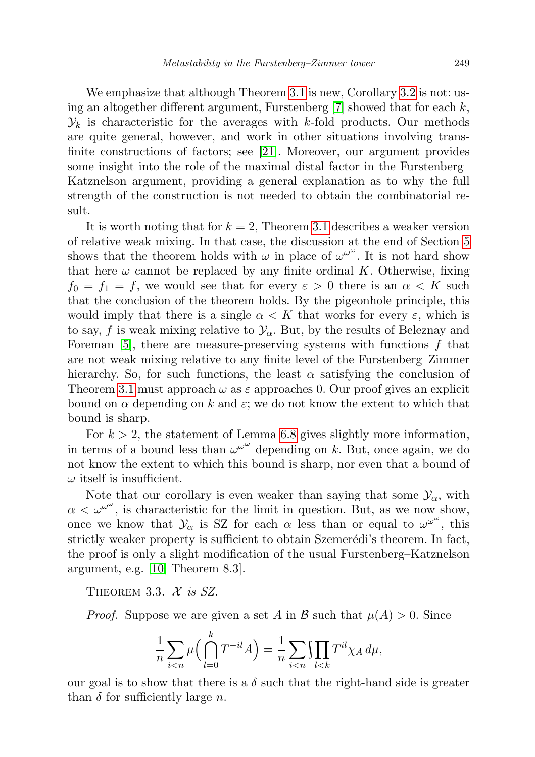We emphasize that although Theorem [3.1](#page-5-1) is new, Corollary [3.2](#page-5-2) is not: using an altogether different argument, Furstenberg  $[7]$  showed that for each k,  $\mathcal{Y}_k$  is characteristic for the averages with k-fold products. Our methods are quite general, however, and work in other situations involving transfinite constructions of factors; see [\[21\]](#page-25-2). Moreover, our argument provides some insight into the role of the maximal distal factor in the Furstenberg– Katznelson argument, providing a general explanation as to why the full strength of the construction is not needed to obtain the combinatorial result.

It is worth noting that for  $k = 2$ , Theorem [3.1](#page-5-1) describes a weaker version of relative weak mixing. In that case, the discussion at the end of Section [5](#page-11-0) shows that the theorem holds with  $\omega$  in place of  $\omega^{\omega^{\omega}}$ . It is not hard show that here  $\omega$  cannot be replaced by any finite ordinal K. Otherwise, fixing  $f_0 = f_1 = f$ , we would see that for every  $\varepsilon > 0$  there is an  $\alpha < K$  such that the conclusion of the theorem holds. By the pigeonhole principle, this would imply that there is a single  $\alpha < K$  that works for every  $\varepsilon$ , which is to say, f is weak mixing relative to  $\mathcal{Y}_{\alpha}$ . But, by the results of Beleznay and Foreman  $\left[5\right]$ , there are measure-preserving systems with functions f that are not weak mixing relative to any finite level of the Furstenberg–Zimmer hierarchy. So, for such functions, the least  $\alpha$  satisfying the conclusion of Theorem [3.1](#page-5-1) must approach  $\omega$  as  $\varepsilon$  approaches 0. Our proof gives an explicit bound on  $\alpha$  depending on k and  $\varepsilon$ ; we do not know the extent to which that bound is sharp.

For  $k > 2$ , the statement of Lemma [6.8](#page-21-1) gives slightly more information, in terms of a bound less than  $\omega^{\omega^{\omega}}$  depending on k. But, once again, we do not know the extent to which this bound is sharp, nor even that a bound of  $\omega$  itself is insufficient.

Note that our corollary is even weaker than saying that some  $\mathcal{Y}_{\alpha}$ , with  $\alpha < \omega^{\omega^{\omega}}$ , is characteristic for the limit in question. But, as we now show, once we know that  $\mathcal{Y}_{\alpha}$  is SZ for each  $\alpha$  less than or equal to  $\omega^{\omega^{\omega}}$ , this strictly weaker property is sufficient to obtain Szemerédi's theorem. In fact, the proof is only a slight modification of the usual Furstenberg–Katznelson argument, e.g. [\[10,](#page-24-2) Theorem 8.3].

THEOREM 3.3.  $\mathcal{X}$  is SZ.

*Proof.* Suppose we are given a set A in B such that  $\mu(A) > 0$ . Since

$$
\frac{1}{n}\sum_{i
$$

our goal is to show that there is a  $\delta$  such that the right-hand side is greater than  $\delta$  for sufficiently large n.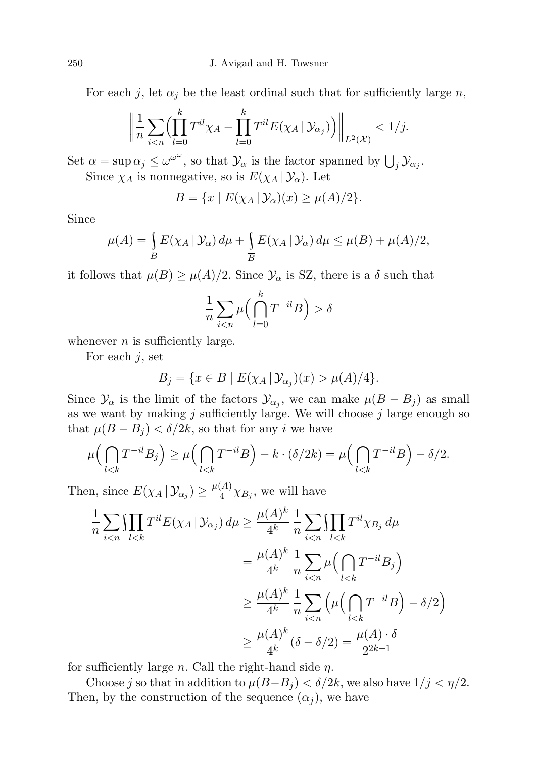For each j, let  $\alpha_j$  be the least ordinal such that for sufficiently large n,

$$
\left\| \frac{1}{n} \sum_{i < n} \Biggl( \prod_{l=0}^k T^{il} \chi_A - \prod_{l=0}^k T^{il} E(\chi_A \, | \, \mathcal{Y}_{\alpha_j}) \Biggr) \right\|_{L^2(\mathcal{X})} < 1/j.
$$

Set  $\alpha = \sup \alpha_j \le \omega^{\omega^{\omega}}$ , so that  $\mathcal{Y}_{\alpha}$  is the factor spanned by  $\bigcup_j \mathcal{Y}_{\alpha_j}$ . Since  $\chi_A$  is nonnegative, so is  $E(\chi_A | \mathcal{Y}_\alpha)$ . Let

$$
B = \{x \mid E(\chi_A \mid \mathcal{Y}_\alpha)(x) \ge \mu(A)/2\}.
$$

Since

$$
\mu(A) = \int_{B} E(\chi_A | \mathcal{Y}_{\alpha}) d\mu + \int_{\overline{B}} E(\chi_A | \mathcal{Y}_{\alpha}) d\mu \le \mu(B) + \mu(A)/2,
$$

it follows that  $\mu(B) \ge \mu(A)/2$ . Since  $\mathcal{Y}_{\alpha}$  is SZ, there is a  $\delta$  such that

$$
\frac{1}{n}\sum_{i \delta
$$

whenever  $n$  is sufficiently large.

For each  $j$ , set

$$
B_j = \{ x \in B \mid E(\chi_A \, | \, \mathcal{Y}_{\alpha_j})(x) > \mu(A)/4 \}.
$$

Since  $\mathcal{Y}_{\alpha}$  is the limit of the factors  $\mathcal{Y}_{\alpha_j}$ , we can make  $\mu(B - B_j)$  as small as we want by making  $j$  sufficiently large. We will choose  $j$  large enough so that  $\mu(B - B_i) < \delta/2k$ , so that for any i we have

$$
\mu\left(\bigcap_{l
$$

Then, since  $E(\chi_A | \mathcal{Y}_{\alpha_j}) \geq \frac{\mu(A)}{4}$  $\frac{A}{4} \chi_{B_j}$ , we will have

$$
\frac{1}{n} \sum_{i < n} \prod_{l < k} T^{il} E(\chi_A | \mathcal{Y}_{\alpha_j}) d\mu \ge \frac{\mu(A)^k}{4^k} \frac{1}{n} \sum_{i < n} \prod_{l < k} T^{il} \chi_{B_j} d\mu
$$
\n
$$
= \frac{\mu(A)^k}{4^k} \frac{1}{n} \sum_{i < n} \mu\left(\bigcap_{l < k} T^{-il} B_j\right)
$$
\n
$$
\ge \frac{\mu(A)^k}{4^k} \frac{1}{n} \sum_{i < n} \left(\mu\left(\bigcap_{l < k} T^{-il} B\right) - \delta/2\right)
$$
\n
$$
\ge \frac{\mu(A)^k}{4^k} (\delta - \delta/2) = \frac{\mu(A) \cdot \delta}{2^{2k+1}}
$$

for sufficiently large *n*. Call the right-hand side  $\eta$ .

Choose j so that in addition to  $\mu(B-B_i) < \delta/2k$ , we also have  $1/j < \eta/2$ . Then, by the construction of the sequence  $(\alpha_i)$ , we have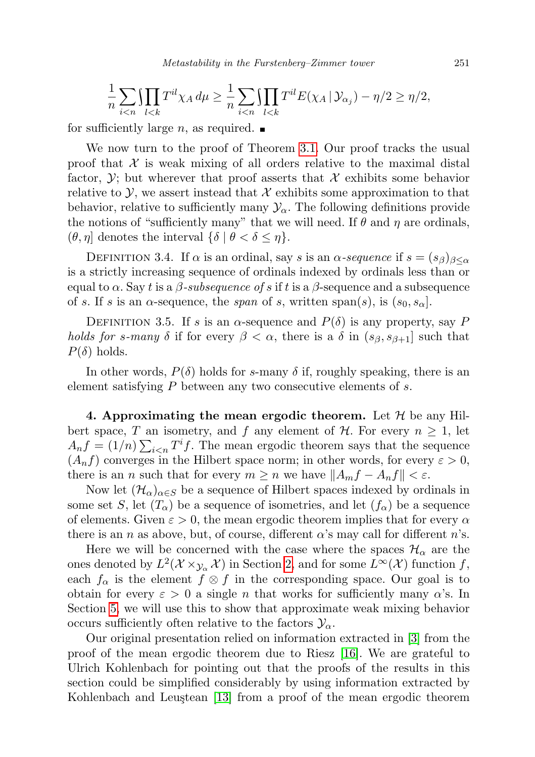$$
\frac{1}{n}\sum_{i
$$

for sufficiently large *n*, as required.  $\blacksquare$ 

We now turn to the proof of Theorem [3.1.](#page-5-1) Our proof tracks the usual proof that  $\mathcal X$  is weak mixing of all orders relative to the maximal distal factor,  $\mathcal{Y}$ ; but wherever that proof asserts that  $\mathcal{X}$  exhibits some behavior relative to  $\mathcal{Y}$ , we assert instead that  $\mathcal{X}$  exhibits some approximation to that behavior, relative to sufficiently many  $\mathcal{Y}_{\alpha}$ . The following definitions provide the notions of "sufficiently many" that we will need. If  $\theta$  and  $\eta$  are ordinals,  $(\theta, \eta]$  denotes the interval  $\{\delta \mid \theta < \delta \leq \eta\}.$ 

DEFINITION 3.4. If  $\alpha$  is an ordinal, say s is an  $\alpha$ -sequence if  $s = (s_{\beta})_{\beta < \alpha}$ is a strictly increasing sequence of ordinals indexed by ordinals less than or equal to  $\alpha$ . Say t is a  $\beta$ -subsequence of s if t is a  $\beta$ -sequence and a subsequence of s. If s is an  $\alpha$ -sequence, the span of s, written span(s), is  $(s_0, s_\alpha)$ .

DEFINITION 3.5. If s is an  $\alpha$ -sequence and  $P(\delta)$  is any property, say P holds for s-many  $\delta$  if for every  $\beta < \alpha$ , there is a  $\delta$  in  $(s_{\beta}, s_{\beta+1}]$  such that  $P(\delta)$  holds.

In other words,  $P(\delta)$  holds for s-many  $\delta$  if, roughly speaking, there is an element satisfying P between any two consecutive elements of s.

<span id="page-8-0"></span>4. Approximating the mean ergodic theorem. Let  $\mathcal H$  be any Hilbert space, T an isometry, and f any element of H. For every  $n \geq 1$ , let  $A_nf = (1/n) \sum_{i \le n} T^i f$ . The mean ergodic theorem says that the sequence  $(A_n f)$  converges in the Hilbert space norm; in other words, for every  $\varepsilon > 0$ , there is an n such that for every  $m \geq n$  we have  $||A_m f - A_n f|| < \varepsilon$ .

Now let  $(\mathcal{H}_\alpha)_{\alpha \in S}$  be a sequence of Hilbert spaces indexed by ordinals in some set S, let  $(T_\alpha)$  be a sequence of isometries, and let  $(f_\alpha)$  be a sequence of elements. Given  $\varepsilon > 0$ , the mean ergodic theorem implies that for every  $\alpha$ there is an n as above, but, of course, different  $\alpha$ 's may call for different n's.

Here we will be concerned with the case where the spaces  $\mathcal{H}_{\alpha}$  are the ones denoted by  $L^2(\mathcal{X} \times_{\mathcal{Y}_{\alpha}} \mathcal{X})$  in Section [2,](#page-1-0) and for some  $L^{\infty}(\mathcal{X})$  function f, each  $f_{\alpha}$  is the element  $f \otimes f$  in the corresponding space. Our goal is to obtain for every  $\varepsilon > 0$  a single n that works for sufficiently many  $\alpha$ 's. In Section [5,](#page-11-0) we will use this to show that approximate weak mixing behavior occurs sufficiently often relative to the factors  $\mathcal{Y}_{\alpha}$ .

Our original presentation relied on information extracted in [\[3\]](#page-24-5) from the proof of the mean ergodic theorem due to Riesz [\[16\]](#page-24-8). We are grateful to Ulrich Kohlenbach for pointing out that the proofs of the results in this section could be simplified considerably by using information extracted by Kohlenbach and Leustean [\[13\]](#page-24-6) from a proof of the mean ergodic theorem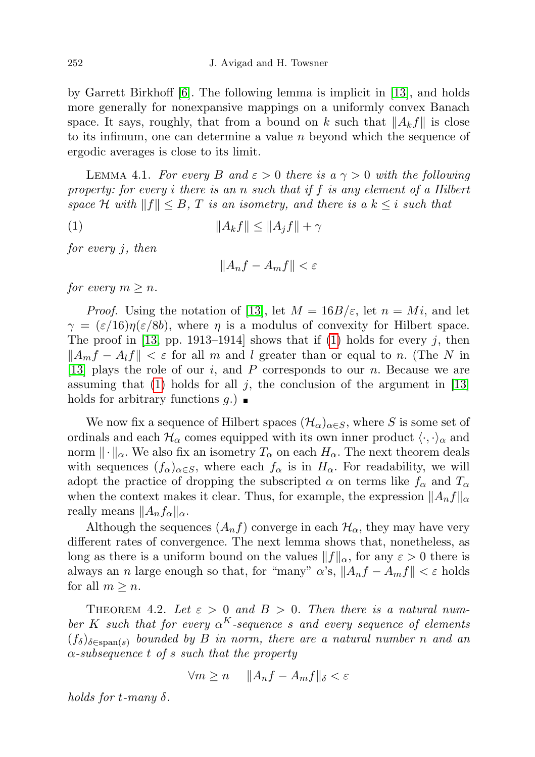by Garrett Birkhoff [\[6\]](#page-24-9). The following lemma is implicit in [\[13\]](#page-24-6), and holds more generally for nonexpansive mappings on a uniformly convex Banach space. It says, roughly, that from a bound on k such that  $||A_kf||$  is close to its infimum, one can determine a value  $n$  beyond which the sequence of ergodic averages is close to its limit.

<span id="page-9-1"></span>LEMMA 4.1. For every B and  $\varepsilon > 0$  there is a  $\gamma > 0$  with the following property: for every i there is an n such that if f is any element of a Hilbert space H with  $||f|| \leq B$ , T is an isometry, and there is a  $k \leq i$  such that

(1) kAkfk ≤ kAjfk + γ

for every j, then

<span id="page-9-0"></span>
$$
||A_nf - A_mf|| < \varepsilon
$$

for every  $m \geq n$ .

*Proof.* Using the notation of [\[13\]](#page-24-6), let  $M = 16B/\varepsilon$ , let  $n = Mi$ , and let  $\gamma = (\varepsilon/16)\eta(\varepsilon/8b)$ , where  $\eta$  is a modulus of convexity for Hilbert space. The proof in [\[13,](#page-24-6) pp. 1913–1914] shows that if [\(1\)](#page-9-0) holds for every j, then  $\|A_m f - A_l f\| < \varepsilon$  for all m and l greater than or equal to n. (The N in [\[13\]](#page-24-6) plays the role of our  $i$ , and  $P$  corresponds to our  $n$ . Because we are assuming that [\(1\)](#page-9-0) holds for all j, the conclusion of the argument in [\[13\]](#page-24-6) holds for arbitrary functions  $q$ .)

We now fix a sequence of Hilbert spaces  $(\mathcal{H}_{\alpha})_{\alpha \in S}$ , where S is some set of ordinals and each  $\mathcal{H}_{\alpha}$  comes equipped with its own inner product  $\langle \cdot, \cdot \rangle_{\alpha}$  and norm  $\|\cdot\|_{\alpha}$ . We also fix an isometry  $T_{\alpha}$  on each  $H_{\alpha}$ . The next theorem deals with sequences  $(f_{\alpha})_{\alpha \in S}$ , where each  $f_{\alpha}$  is in  $H_{\alpha}$ . For readability, we will adopt the practice of dropping the subscripted  $\alpha$  on terms like  $f_{\alpha}$  and  $T_{\alpha}$ when the context makes it clear. Thus, for example, the expression  $||A_nf||_{\alpha}$ really means  $||A_n f_\alpha||_\alpha$ .

Although the sequences  $(A_n f)$  converge in each  $\mathcal{H}_{\alpha}$ , they may have very different rates of convergence. The next lemma shows that, nonetheless, as long as there is a uniform bound on the values  $||f||_{\alpha}$ , for any  $\varepsilon > 0$  there is always an n large enough so that, for "many"  $\alpha$ 's,  $||A_nf - A_mf|| < \varepsilon$  holds for all  $m \geq n$ .

THEOREM 4.2. Let  $\varepsilon > 0$  and  $B > 0$ . Then there is a natural number K such that for every  $\alpha^{K}$ -sequence s and every sequence of elements  $(f_{\delta})_{\delta \in \text{span}(s)}$  bounded by B in norm, there are a natural number n and an  $\alpha$ -subsequence t of s such that the property

$$
\forall m \ge n \quad \|A_n f - A_m f\|_{\delta} < \varepsilon
$$

holds for t-many  $\delta$ .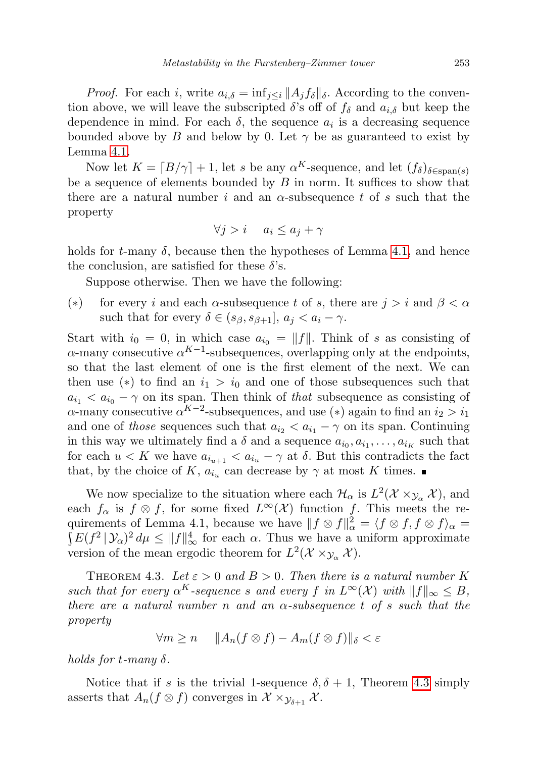*Proof.* For each i, write  $a_{i,\delta} = \inf_{j \leq i} ||A_j f_{\delta}||_{\delta}$ . According to the convention above, we will leave the subscripted  $\delta$ 's off of  $f_{\delta}$  and  $a_{i,\delta}$  but keep the dependence in mind. For each  $\delta$ , the sequence  $a_i$  is a decreasing sequence bounded above by B and below by 0. Let  $\gamma$  be as guaranteed to exist by Lemma [4.1.](#page-9-1)

Now let  $K = \lfloor B/\gamma \rfloor + 1$ , let s be any  $\alpha^{K}$ -sequence, and let  $(f_{\delta})_{\delta \in \text{span}(s)}$ be a sequence of elements bounded by  $B$  in norm. It suffices to show that there are a natural number i and an  $\alpha$ -subsequence t of s such that the property

$$
\forall j > i \quad a_i \le a_j + \gamma
$$

holds for  $t$ -many  $\delta$ , because then the hypotheses of Lemma [4.1,](#page-9-1) and hence the conclusion, are satisfied for these  $\delta$ 's.

Suppose otherwise. Then we have the following:

(\*) for every i and each  $\alpha$ -subsequence t of s, there are  $j > i$  and  $\beta < \alpha$ such that for every  $\delta \in (s_{\beta}, s_{\beta+1}], a_i < a_i - \gamma$ .

Start with  $i_0 = 0$ , in which case  $a_{i_0} = ||f||$ . Think of s as consisting of  $\alpha$ -many consecutive  $\alpha^{K-1}$ -subsequences, overlapping only at the endpoints, so that the last element of one is the first element of the next. We can then use (\*) to find an  $i_1 > i_0$  and one of those subsequences such that  $a_{i_1} < a_{i_0} - \gamma$  on its span. Then think of that subsequence as consisting of  $\alpha$ -many consecutive  $\alpha^{K-2}$ -subsequences, and use (\*) again to find an  $i_2 > i_1$ and one of those sequences such that  $a_{i_2} < a_{i_1} - \gamma$  on its span. Continuing in this way we ultimately find a  $\delta$  and a sequence  $a_{i_0}, a_{i_1}, \ldots, a_{i_K}$  such that for each  $u < K$  we have  $a_{i_{u+1}} < a_{i_u} - \gamma$  at  $\delta$ . But this contradicts the fact that, by the choice of K,  $a_{i_u}$  can decrease by  $\gamma$  at most K times.

We now specialize to the situation where each  $\mathcal{H}_{\alpha}$  is  $L^2(\mathcal{X} \times_{\mathcal{Y}_{\alpha}} \mathcal{X})$ , and each  $f_{\alpha}$  is  $f \otimes f$ , for some fixed  $L^{\infty}(\mathcal{X})$  function f. This meets the requirements of Lemma 4.1, because we have  $|| f \otimes f||^2$ quirements of Lemma 4.1, because we have  $||f \otimes f||_{\alpha}^{2} = \langle f \otimes f, f \otimes f \rangle_{\alpha} =$ <br> $\int E(f^{2} | \mathcal{Y}_{\alpha})^{2} d\mu \leq ||f||_{\infty}^{4}$  for each  $\alpha$ . Thus we have a uniform approximate version of the mean ergodic theorem for  $L^2(\mathcal{X} \times y_\alpha \mathcal{X})$ .

<span id="page-10-0"></span>THEOREM 4.3. Let  $\varepsilon > 0$  and  $B > 0$ . Then there is a natural number K such that for every  $\alpha^{K}$ -sequence s and every f in  $L^{\infty}(\mathcal{X})$  with  $||f||_{\infty} \leq B$ , there are a natural number n and an  $\alpha$ -subsequence t of s such that the property

$$
\forall m \ge n \quad \|A_n(f \otimes f) - A_m(f \otimes f)\|_{\delta} < \varepsilon
$$

holds for t-many δ.

Notice that if s is the trivial 1-sequence  $\delta, \delta + 1$ , Theorem [4.3](#page-10-0) simply asserts that  $A_n(f \otimes f)$  converges in  $\mathcal{X} \times_{\mathcal{Y}_{\delta+1}} \mathcal{X}$ .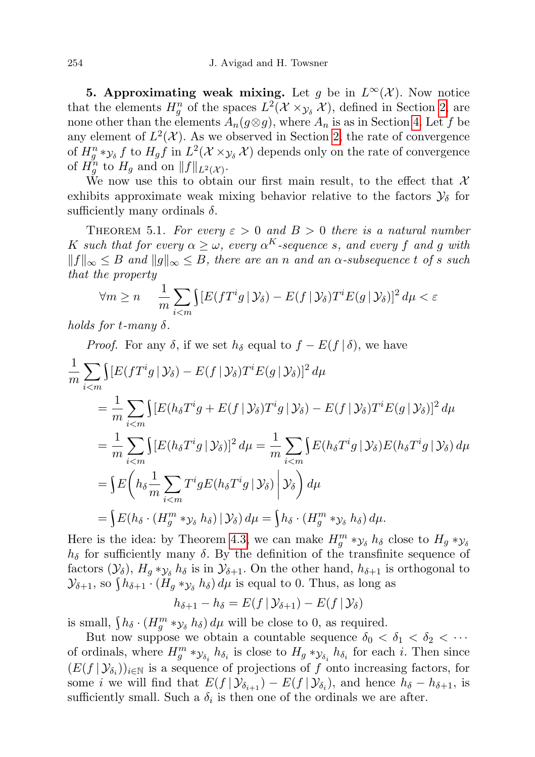<span id="page-11-0"></span>5. Approximating weak mixing. Let g be in  $L^{\infty}(\mathcal{X})$ . Now notice that the elements  $H_g^n$  of the spaces  $L^2(\mathcal{X} \times_{\mathcal{Y}_\delta} \mathcal{X})$ , defined in Section [2,](#page-1-0) are none other than the elements  $A_n(g \otimes g)$ , where  $A_n$  is as in Section [4.](#page-8-0) Let f be any element of  $L^2(\mathcal{X})$ . As we observed in Section [2,](#page-1-0) the rate of convergence of  $H_g^n *_{\mathcal{Y}_\delta} f$  to  $H_g f$  in  $L^2(\mathcal{X} \times_{\mathcal{Y}_\delta} \mathcal{X})$  depends only on the rate of convergence of  $H_g^n$  to  $H_g$  and on  $||f||_{L^2(\mathcal{X})}$ .

We now use this to obtain our first main result, to the effect that  $\mathcal{X}$ exhibits approximate weak mixing behavior relative to the factors  $\mathcal{Y}_{\delta}$  for sufficiently many ordinals  $\delta$ .

<span id="page-11-1"></span>THEOREM 5.1. For every  $\varepsilon > 0$  and  $B > 0$  there is a natural number K such that for every  $\alpha \geq \omega$ , every  $\alpha^{K}$ -sequence s, and every f and g with  $||f||_{\infty} \leq B$  and  $||g||_{\infty} \leq B$ , there are an n and an  $\alpha$ -subsequence t of s such that the property

$$
\forall m \ge n \quad \frac{1}{m} \sum_{i < m} \left[ E(fT^i g \, | \, \mathcal{Y}_\delta) - E(f \, | \, \mathcal{Y}_\delta) T^i E(g \, | \, \mathcal{Y}_\delta) \right]^2 d\mu < \varepsilon
$$

holds for t-many  $\delta$ .

Proof. For any 
$$
\delta
$$
, if we set  $h_{\delta}$  equal to  $f - E(f | \delta)$ , we have  
\n
$$
\frac{1}{m} \sum_{i < m} \int [E(fT^i g | \mathcal{Y}_{\delta}) - E(f | \mathcal{Y}_{\delta}) T^i E(g | \mathcal{Y}_{\delta})]^2 d\mu
$$
\n
$$
= \frac{1}{m} \sum_{i < m} \int [E(h_{\delta} T^i g + E(f | \mathcal{Y}_{\delta}) T^i g | \mathcal{Y}_{\delta}) - E(f | \mathcal{Y}_{\delta}) T^i E(g | \mathcal{Y}_{\delta})]^2 d\mu
$$
\n
$$
= \frac{1}{m} \sum_{i < m} \int [E(h_{\delta} T^i g | \mathcal{Y}_{\delta})]^2 d\mu = \frac{1}{m} \sum_{i < m} \int E(h_{\delta} T^i g | \mathcal{Y}_{\delta}) E(h_{\delta} T^i g | \mathcal{Y}_{\delta}) d\mu
$$
\n
$$
= \int E(h_{\delta} \frac{1}{m} \sum_{i < m} T^i g E(h_{\delta} T^i g | \mathcal{Y}_{\delta}) \Big| \mathcal{Y}_{\delta} \Big) d\mu
$$
\n
$$
= \int E(h_{\delta} \cdot (H_g^m * \mathcal{Y}_{\delta} h_{\delta}) | \mathcal{Y}_{\delta}) d\mu = \int h_{\delta} \cdot (H_g^m * \mathcal{Y}_{\delta} h_{\delta}) d\mu.
$$

Here is the idea: by Theorem [4.3,](#page-10-0) we can make  $H_g^m *_{\mathcal{Y}_{\delta}} h_{\delta}$  close to  $H_g *_{\mathcal{Y}_{\delta}}$  $h_{\delta}$  for sufficiently many  $\delta$ . By the definition of the transfinite sequence of factors  $(\mathcal{Y}_{\delta}), H_q *_{\mathcal{Y}_{\delta}} h_{\delta}$  is in  $\mathcal{Y}_{\delta+1}$ . On the other hand,  $h_{\delta+1}$  is orthogonal to  $\mathcal{Y}_{\delta+1}$ , so  $\int h_{\delta+1} \cdot (H_g *_{\mathcal{Y}_{\delta}} h_{\delta}) d\mu$  is equal to 0. Thus, as long as

$$
h_{\delta+1} - h_{\delta} = E(f \,|\, \mathcal{Y}_{\delta+1}) - E(f \,|\, \mathcal{Y}_{\delta})
$$

is small,  $\int h_{\delta} \cdot (H_g^m *_{\mathcal{Y}_{\delta}} h_{\delta}) d\mu$  will be close to 0, as required.

But now suppose we obtain a countable sequence  $\delta_0 < \delta_1 < \delta_2 < \cdots$ of ordinals, where  $H_g^m * y_{\delta_i} h_{\delta_i}$  is close to  $H_g * y_{\delta_i} h_{\delta_i}$  for each *i*. Then since  $(E(f | \mathcal{Y}_{\delta_i}))_{i \in \mathbb{N}}$  is a sequence of projections of f onto increasing factors, for some *i* we will find that  $E(f | \mathcal{Y}_{\delta_{i+1}}) - E(f | \mathcal{Y}_{\delta_i})$ , and hence  $h_{\delta} - h_{\delta+1}$ , is sufficiently small. Such a  $\delta_i$  is then one of the ordinals we are after.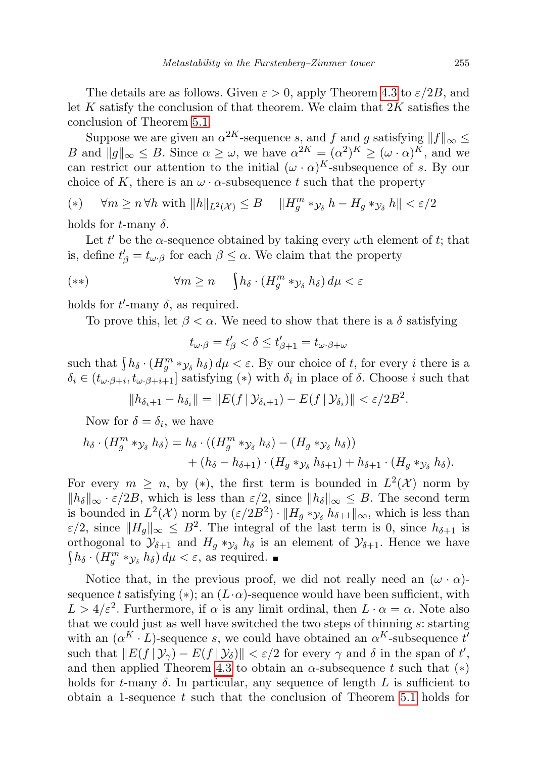The details are as follows. Given  $\varepsilon > 0$ , apply Theorem [4.3](#page-10-0) to  $\varepsilon/2B$ , and let K satisfy the conclusion of that theorem. We claim that  $2K$  satisfies the conclusion of Theorem [5.1.](#page-11-1)

Suppose we are given an  $\alpha^{2K}$ -sequence s, and f and g satisfying  $||f||_{\infty} \leq$ B and  $||g||_{\infty} \leq B$ . Since  $\alpha \geq \omega$ , we have  $\alpha^{2K} = (\alpha^2)^K \geq (\omega \cdot \alpha)^K$ , and we can restrict our attention to the initial  $(\omega \cdot \alpha)^K$ -subsequence of s. By our choice of K, there is an  $\omega \cdot \alpha$ -subsequence t such that the property

$$
(*) \quad \forall m \ge n \,\forall h \text{ with } \|h\|_{L^2(\mathcal{X})} \le B \quad \|H_g^m *_{\mathcal{Y}_\delta} h - H_g *_{\mathcal{Y}_\delta} h\| < \varepsilon/2
$$

holds for t-many  $\delta$ .

Let t' be the  $\alpha$ -sequence obtained by taking every  $\omega$ th element of t; that is, define  $t'_{\beta} = t_{\omega \cdot \beta}$  for each  $\beta \leq \alpha$ . We claim that the property

$$
(**) \qquad \forall m \ge n \quad \int h_\delta \cdot (H_g^m * y_\delta h_\delta) d\mu < \varepsilon
$$

holds for  $t'$ -many  $\delta$ , as required.

To prove this, let  $\beta < \alpha$ . We need to show that there is a  $\delta$  satisfying

$$
t_{\omega\cdot\beta}=t'_\beta<\delta\leq t'_{\beta+1}=t_{\omega\cdot\beta+\omega}
$$

such that  $\int h_\delta \cdot (H_g^m * y_\delta h_\delta) d\mu < \varepsilon$ . By our choice of t, for every i there is a  $\delta_i \in (t_{\omega \cdot \beta + i}, t_{\omega \cdot \beta + i + 1}]$  satisfying (\*) with  $\delta_i$  in place of  $\delta$ . Choose i such that

$$
||h_{\delta_i+1} - h_{\delta_i}|| = ||E(f | \mathcal{Y}_{\delta_i+1}) - E(f | \mathcal{Y}_{\delta_i})|| < \varepsilon/2B^2.
$$

Now for  $\delta = \delta_i$ , we have

$$
h_{\delta} \cdot (H_g^m *_{\mathcal{Y}_{\delta}} h_{\delta}) = h_{\delta} \cdot ((H_g^m *_{\mathcal{Y}_{\delta}} h_{\delta}) - (H_g *_{\mathcal{Y}_{\delta}} h_{\delta})) + (h_{\delta} - h_{\delta+1}) \cdot (H_g *_{\mathcal{Y}_{\delta}} h_{\delta+1}) + h_{\delta+1} \cdot (H_g *_{\mathcal{Y}_{\delta}} h_{\delta}).
$$

For every  $m \geq n$ , by (\*), the first term is bounded in  $L^2(\mathcal{X})$  norm by  $||h_\delta||_\infty \cdot \varepsilon/2B$ , which is less than  $\varepsilon/2$ , since  $||h_\delta||_\infty \leq B$ . The second term is bounded in  $L^2(\mathcal{X})$  norm by  $(\varepsilon/2B^2) \cdot ||H_g * y_\delta h_{\delta+1}||_{\infty}$ , which is less than  $\varepsilon/2$ , since  $||H_g||_{\infty} \leq B^2$ . The integral of the last term is 0, since  $h_{\delta+1}$  is orthogonal to  $\mathcal{Y}_{\delta+1}$  and  $H_g *_{\mathcal{Y}_{\delta}} h_{\delta}$  is an element of  $\mathcal{Y}_{\delta+1}$ . Hence we have  $\int h_\delta \cdot (H_g^m *_{\mathcal{Y}_\delta} h_\delta) d\mu < \varepsilon$ , as required.

Notice that, in the previous proof, we did not really need an  $(\omega \cdot \alpha)$ sequence t satisfying (\*); an  $(L \cdot \alpha)$ -sequence would have been sufficient, with  $L > 4/\varepsilon^2$ . Furthermore, if  $\alpha$  is any limit ordinal, then  $L \cdot \alpha = \alpha$ . Note also that we could just as well have switched the two steps of thinning s: starting with an  $(\alpha^K \cdot L)$ -sequence s, we could have obtained an  $\alpha^K$ -subsequence t' such that  $||E(f | \mathcal{Y}_\gamma) - E(f | \mathcal{Y}_\delta)|| < \varepsilon/2$  for every  $\gamma$  and  $\delta$  in the span of t', and then applied Theorem [4.3](#page-10-0) to obtain an  $\alpha$ -subsequence t such that (\*) holds for t-many  $\delta$ . In particular, any sequence of length L is sufficient to obtain a 1-sequence  $t$  such that the conclusion of Theorem [5.1](#page-11-1) holds for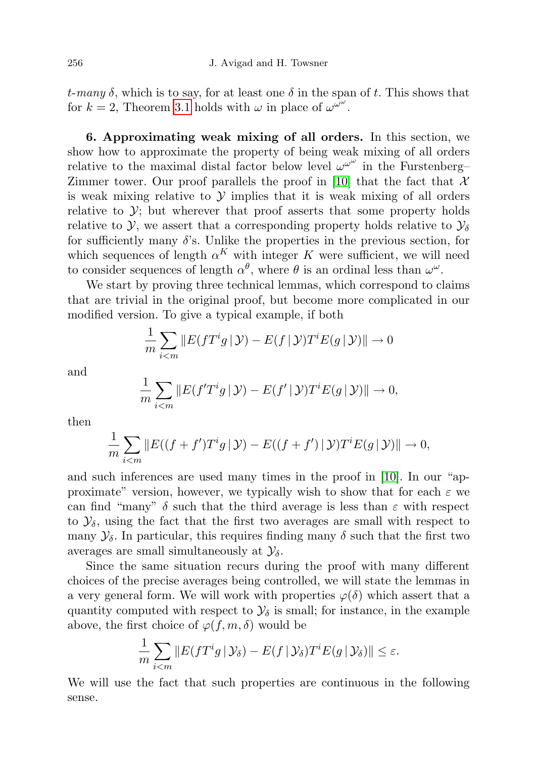t-many  $\delta$ , which is to say, for at least one  $\delta$  in the span of t. This shows that for  $k = 2$ , Theorem [3.1](#page-5-1) holds with  $\omega$  in place of  $\omega^{\omega^{\omega}}$ .

<span id="page-13-0"></span>6. Approximating weak mixing of all orders. In this section, we show how to approximate the property of being weak mixing of all orders relative to the maximal distal factor below level  $\omega^{\omega^{\omega}}$  in the Furstenberg– Zimmer tower. Our proof parallels the proof in [\[10\]](#page-24-2) that the fact that  $\mathcal X$ is weak mixing relative to  $\mathcal Y$  implies that it is weak mixing of all orders relative to  $\mathcal{Y}$ ; but wherever that proof asserts that some property holds relative to Y, we assert that a corresponding property holds relative to  $\mathcal{Y}_\delta$ for sufficiently many  $\delta$ 's. Unlike the properties in the previous section, for which sequences of length  $\alpha^{K}$  with integer K were sufficient, we will need to consider sequences of length  $\alpha^{\theta}$ , where  $\theta$  is an ordinal less than  $\omega^{\omega}$ .

We start by proving three technical lemmas, which correspond to claims that are trivial in the original proof, but become more complicated in our modified version. To give a typical example, if both

$$
\frac{1}{m}\sum_{i
$$

and

$$
\frac{1}{m}\sum_{i
$$

then

$$
\frac{1}{m}\sum_{i
$$

and such inferences are used many times in the proof in [\[10\]](#page-24-2). In our "approximate" version, however, we typically wish to show that for each  $\varepsilon$  we can find "many"  $\delta$  such that the third average is less than  $\varepsilon$  with respect to  $\mathcal{Y}_{\delta}$ , using the fact that the first two averages are small with respect to many  $\mathcal{Y}_{\delta}$ . In particular, this requires finding many  $\delta$  such that the first two averages are small simultaneously at  $\mathcal{Y}_{\delta}$ .

Since the same situation recurs during the proof with many different choices of the precise averages being controlled, we will state the lemmas in a very general form. We will work with properties  $\varphi(\delta)$  which assert that a quantity computed with respect to  $\mathcal{Y}_{\delta}$  is small; for instance, in the example above, the first choice of  $\varphi(f, m, \delta)$  would be

$$
\frac{1}{m}\sum_{i
$$

We will use the fact that such properties are continuous in the following sense.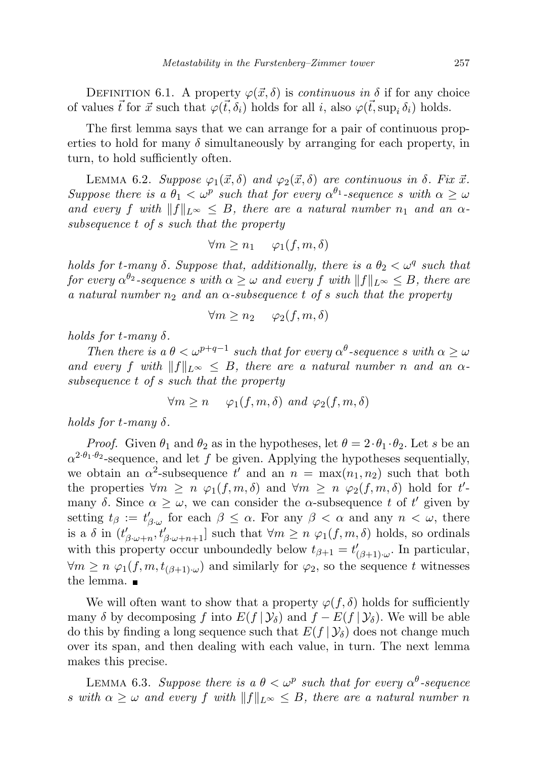DEFINITION 6.1. A property  $\varphi(\vec{x}, \delta)$  is *continuous in*  $\delta$  if for any choice of values  $\vec{t}$  for  $\vec{x}$  such that  $\varphi(\vec{t}, \delta_i)$  holds for all i, also  $\varphi(\vec{t}, \sup_i \delta_i)$  holds.

The first lemma says that we can arrange for a pair of continuous properties to hold for many  $\delta$  simultaneously by arranging for each property, in turn, to hold sufficiently often.

<span id="page-14-0"></span>LEMMA 6.2. Suppose  $\varphi_1(\vec{x}, \delta)$  and  $\varphi_2(\vec{x}, \delta)$  are continuous in  $\delta$ . Fix  $\vec{x}$ . Suppose there is a  $\theta_1 < \omega^p$  such that for every  $\alpha^{\theta_1}$ -sequence s with  $\alpha \geq \omega$ and every f with  $||f||_{L^{\infty}} \leq B$ , there are a natural number  $n_1$  and an  $\alpha$ subsequence t of s such that the property

$$
\forall m \ge n_1 \quad \varphi_1(f, m, \delta)
$$

holds for t-many  $\delta$ . Suppose that, additionally, there is a  $\theta_2 < \omega^q$  such that for every  $\alpha^{\theta_2}$ -sequence s with  $\alpha \geq \omega$  and every  $f$  with  $\|f\|_{L^\infty} \leq B,$  there are a natural number  $n_2$  and an  $\alpha$ -subsequence t of s such that the property

$$
\forall m \ge n_2 \quad \varphi_2(f, m, \delta)
$$

holds for t-many  $\delta$ .

Then there is  $a \theta < \omega^{p+q-1}$  such that for every  $\alpha^{\theta}$ -sequence s with  $\alpha \geq \omega$ and every f with  $||f||_{L^{\infty}} \leq B$ , there are a natural number n and an  $\alpha$ subsequence t of s such that the property

$$
\forall m \ge n \quad \varphi_1(f, m, \delta) \text{ and } \varphi_2(f, m, \delta)
$$

holds for t-many  $\delta$ .

*Proof.* Given  $\theta_1$  and  $\theta_2$  as in the hypotheses, let  $\theta = 2 \cdot \theta_1 \cdot \theta_2$ . Let s be an  $\alpha^{2 \cdot \theta_1 \cdot \theta_2}$ -sequence, and let f be given. Applying the hypotheses sequentially, we obtain an  $\alpha^2$ -subsequence t' and an  $n = \max(n_1, n_2)$  such that both the properties  $\forall m \geq n \varphi_1(f,m,\delta)$  and  $\forall m \geq n \varphi_2(f,m,\delta)$  hold for t'many  $\delta$ . Since  $\alpha \geq \omega$ , we can consider the  $\alpha$ -subsequence t of t' given by setting  $t_{\beta} := t'_{\beta \cdot \omega}$  for each  $\beta \leq \alpha$ . For any  $\beta < \alpha$  and any  $n < \omega$ , there is a  $\delta$  in  $(t'_{\beta\cdot\omega+n}, t'_{\beta\cdot\omega+n+1}]$  such that  $\forall m\geq n \varphi_1(f,m,\delta)$  holds, so ordinals with this property occur unboundedly below  $t_{\beta+1} = t'_{(\beta+1)\cdot\omega}$ . In particular,  $\forall m \geq n \varphi_1(f, m, t_{(\beta+1)\omega})$  and similarly for  $\varphi_2$ , so the sequence t witnesses the lemma.

We will often want to show that a property  $\varphi(f, \delta)$  holds for sufficiently many  $\delta$  by decomposing f into  $E(f | \mathcal{Y}_\delta)$  and  $f - E(f | \mathcal{Y}_\delta)$ . We will be able do this by finding a long sequence such that  $E(f | \mathcal{Y}_\delta)$  does not change much over its span, and then dealing with each value, in turn. The next lemma makes this precise.

<span id="page-14-1"></span>LEMMA 6.3. Suppose there is a  $\theta < \omega^p$  such that for every  $\alpha^{\theta}$ -sequence s with  $\alpha \geq \omega$  and every f with  $||f||_{L^{\infty}} \leq B$ , there are a natural number n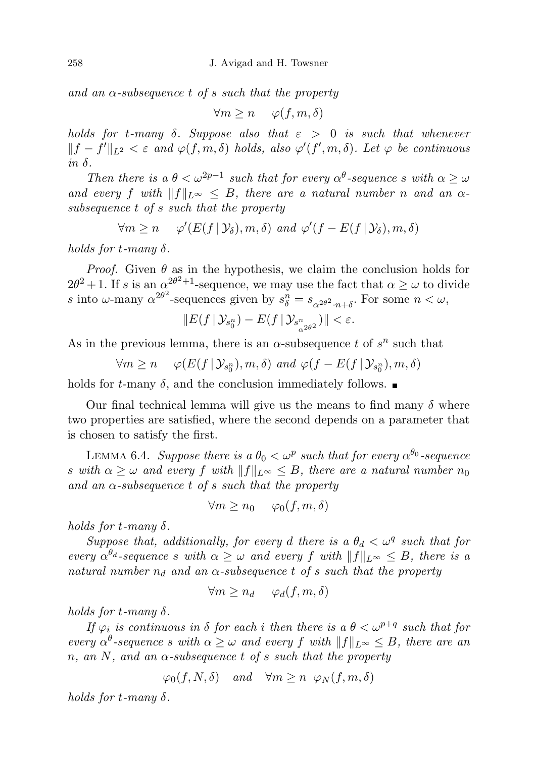and an  $\alpha$ -subsequence t of s such that the property

$$
\forall m \ge n \quad \varphi(f, m, \delta)
$$

holds for t-many  $\delta$ . Suppose also that  $\varepsilon > 0$  is such that whenever  $||f - f'||_{L^2} < \varepsilon$  and  $\varphi(f, m, \delta)$  holds, also  $\varphi'(f', m, \delta)$ . Let  $\varphi$  be continuous in  $\delta$ .

Then there is a  $\theta < \omega^{2p-1}$  such that for every  $\alpha^{\theta}$ -sequence s with  $\alpha \geq \omega$ and every f with  $||f||_{L^{\infty}} \leq B$ , there are a natural number n and an  $\alpha$ subsequence t of s such that the property

 $\forall m \geq n \quad \varphi'(E(f | \mathcal{Y}_{\delta}), m, \delta) \text{ and } \varphi'(f - E(f | \mathcal{Y}_{\delta}), m, \delta)$ 

holds for  $t$ -many  $\delta$ .

*Proof.* Given  $\theta$  as in the hypothesis, we claim the conclusion holds for  $2\theta^2 + 1$ . If s is an  $\alpha^{2\theta^2 + 1}$ -sequence, we may use the fact that  $\alpha \geq \omega$  to divide s into  $\omega$ -many  $\alpha^{2\theta^2}$ -sequences given by  $s_\delta^n = s_{\alpha^{2\theta^2} \cdot n + \delta}$ . For some  $n < \omega$ ,

$$
||E(f|\mathcal{Y}_{s_0^n})-E(f|\mathcal{Y}_{s_{\alpha^{2\theta^2}}^n})|| < \varepsilon.
$$

As in the previous lemma, there is an  $\alpha$ -subsequence t of  $s^n$  such that

$$
\forall m \ge n \quad \varphi(E(f \,|\, \mathcal{Y}_{s_0^n}), m, \delta) \text{ and } \varphi(f - E(f \,|\, \mathcal{Y}_{s_0^n}), m, \delta)
$$

holds for t-many  $\delta$ , and the conclusion immediately follows.

Our final technical lemma will give us the means to find many  $\delta$  where two properties are satisfied, where the second depends on a parameter that is chosen to satisfy the first.

<span id="page-15-0"></span>LEMMA 6.4. Suppose there is a  $\theta_0 < \omega^p$  such that for every  $\alpha^{\theta_0}$ -sequence s with  $\alpha \geq \omega$  and every f with  $||f||_{L^{\infty}} \leq B$ , there are a natural number  $n_0$ and an  $\alpha$ -subsequence t of s such that the property

$$
\forall m \ge n_0 \quad \varphi_0(f, m, \delta)
$$

holds for t-many  $\delta$ .

Suppose that, additionally, for every d there is a  $\theta_d < \omega^q$  such that for every  $\alpha^{\theta_d}$ -sequence s with  $\alpha \geq \omega$  and every f with  $||f||_{L^{\infty}} \leq B$ , there is a natural number  $n_d$  and an  $\alpha$ -subsequence t of s such that the property

$$
\forall m \ge n_d \quad \varphi_d(f, m, \delta)
$$

holds for t-many  $\delta$ .

If  $\varphi_i$  is continuous in  $\delta$  for each i then there is a  $\theta < \omega^{p+q}$  such that for every  $\alpha^{\theta}$ -sequence s with  $\alpha \geq \omega$  and every f with  $||f||_{L^{\infty}} \leq B$ , there are an n, an N, and an  $\alpha$ -subsequence t of s such that the property

$$
\varphi_0(f, N, \delta)
$$
 and  $\forall m \ge n \varphi_N(f, m, \delta)$ 

holds for t-many  $\delta$ .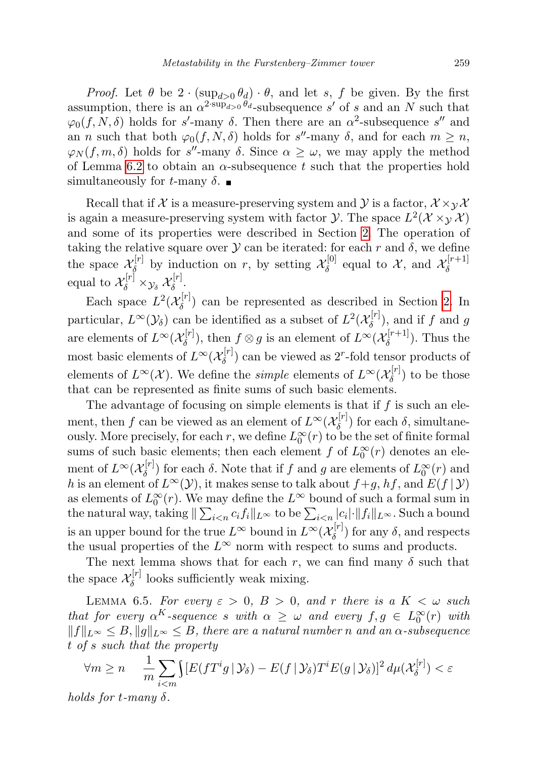*Proof.* Let  $\theta$  be  $2 \cdot (\sup_{d>0} \theta_d) \cdot \theta$ , and let s, f be given. By the first assumption, there is an  $\alpha^{2\sup_{d>0} \theta_d}$ -subsequence s' of s and an N such that  $\varphi_0(f, N, \delta)$  holds for s'-many  $\delta$ . Then there are an  $\alpha^2$ -subsequence s'' and an *n* such that both  $\varphi_0(f, N, \delta)$  holds for s''-many  $\delta$ , and for each  $m \geq n$ ,  $\varphi_N(f, m, \delta)$  holds for s''-many  $\delta$ . Since  $\alpha \geq \omega$ , we may apply the method of Lemma [6.2](#page-14-0) to obtain an  $\alpha$ -subsequence t such that the properties hold simultaneously for t-many  $\delta$ .

Recall that if X is a measure-preserving system and Y is a factor,  $\mathcal{X} \times_{\mathcal{Y}} \mathcal{X}$ is again a measure-preserving system with factor  $\mathcal{Y}$ . The space  $L^2(\mathcal{X} \times_{\mathcal{Y}} \mathcal{X})$ and some of its properties were described in Section [2.](#page-1-0) The operation of taking the relative square over  $\mathcal Y$  can be iterated: for each r and  $\delta$ , we define the space  $\mathcal{X}_{\delta}^{[r]}$  $\mathcal{X}_{\delta}^{[r]}$  by induction on r, by setting  $\mathcal{X}_{\delta}^{[0]}$  $\mathcal{X}_{\delta}^{[0]}$  equal to X, and  $\mathcal{X}_{\delta}^{[r+1]}$ δ equal to  $\mathcal{X}_{\delta}^{[r]} \times_{\mathcal{Y}_{\delta}} \mathcal{X}_{\delta}^{[r]}$  $\delta^{[r]}$ .

Each space  $L^2(\mathcal{X}_{\delta}^{[r]})$  $\delta^{(T)}$  can be represented as described in Section [2.](#page-1-0) In particular,  $L^{\infty}(\mathcal{Y}_{\delta})$  can be identified as a subset of  $L^2(\mathcal{X}_{\delta}^{[r]})$  $\delta^{[r]}$ ), and if f and g are elements of  $L^{\infty}(\mathcal{X}_{\delta}^{[r]})$  $\mathcal{L}_{\delta}^{[r]}$ ), then  $f \otimes g$  is an element of  $L^{\infty}(\mathcal{X}_{\delta}^{[r+1]})$  $\delta^{(r+1)}$ . Thus the most basic elements of  $L^{\infty}(\mathcal{X}_{\delta}^{[r]})$  $\delta^{[r]}$  can be viewed as 2<sup>r</sup>-fold tensor products of elements of  $L^{\infty}(\mathcal{X})$ . We define the *simple* elements of  $L^{\infty}(\mathcal{X}_{\delta}^{[r]})$  $\binom{[r]}{\delta}$  to be those that can be represented as finite sums of such basic elements.

The advantage of focusing on simple elements is that if  $f$  is such an element, then f can be viewed as an element of  $L^{\infty}(\mathcal{X}_{\delta}^{[r]})$  $\delta_{\delta}^{\left[\mathrm{U}\right]}$  for each  $\delta$ , simultaneously. More precisely, for each r, we define  $L_0^{\infty}(r)$  to be the set of finite formal sums of such basic elements; then each element  $f$  of  $L_0^{\infty}(r)$  denotes an element of  $L^{\infty}(\mathcal{X}_{\delta}^{[r]}$  $\delta_{\delta}^{[r]}$ ) for each  $\delta$ . Note that if f and g are elements of  $L_0^{\infty}(r)$  and h is an element of  $L^{\infty}(\mathcal{Y})$ , it makes sense to talk about  $f+g$ ,  $hf$ , and  $E(f | \mathcal{Y})$ as elements of  $L_0^{\infty}(r)$ . We may define the  $L^{\infty}$  bound of such a formal sum in the natural way, taking  $\|\sum_{i\leq n} c_i f_i\|_{L^\infty}$  to be  $\sum_{i\leq n} |c_i| \cdot \|f_i\|_{L^\infty}$ . Such a bound is an upper bound for the true  $L^{\infty}$  bound in  $L^{\infty}(\mathcal{X}_{\delta}^{[r]})$  $\delta$ <sup>[*r*</sup>]) for any  $\delta$ , and respects the usual properties of the  $L^{\infty}$  norm with respect to sums and products.

The next lemma shows that for each r, we can find many  $\delta$  such that the space  $\mathcal{X}_{\delta}^{[r]}$  $\delta^{\text{tr}}$  looks sufficiently weak mixing.

<span id="page-16-0"></span>LEMMA 6.5. For every  $\varepsilon > 0$ ,  $B > 0$ , and r there is a  $K < \omega$  such that for every  $\alpha^K$ -sequence s with  $\alpha \geq \omega$  and every  $f, g \in L_0^{\infty}(r)$  with  $||f||_{L^{\infty}} \leq B, ||g||_{L^{\infty}} \leq B$ , there are a natural number n and an  $\alpha$ -subsequence t of s such that the property

$$
\forall m \ge n \quad \frac{1}{m} \sum_{i < m} \int [E(fT^i g \, | \, \mathcal{Y}_\delta) - E(f \, | \, \mathcal{Y}_\delta) T^i E(g \, | \, \mathcal{Y}_\delta)]^2 \, d\mu(\mathcal{X}_\delta^{[r]}) < \varepsilon
$$

holds for  $t$ -many  $\delta$ .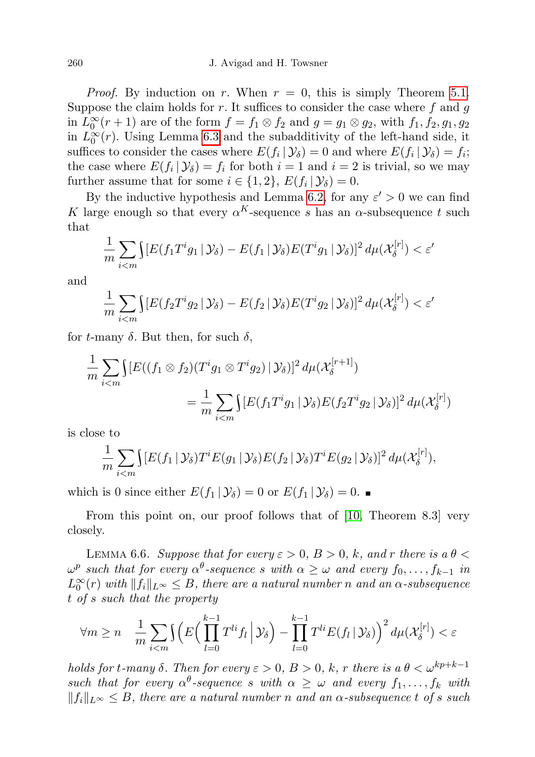*Proof.* By induction on r. When  $r = 0$ , this is simply Theorem [5.1.](#page-11-1) Suppose the claim holds for  $r$ . It suffices to consider the case where  $f$  and  $g$ in  $L_0^{\infty}(r+1)$  are of the form  $f = f_1 \otimes f_2$  and  $g = g_1 \otimes g_2$ , with  $f_1, f_2, g_1, g_2$ in  $L_0^{\infty}(r)$ . Using Lemma [6.3](#page-14-1) and the subadditivity of the left-hand side, it suffices to consider the cases where  $E(f_i | \mathcal{Y}_\delta) = 0$  and where  $E(f_i | \mathcal{Y}_\delta) = f_i$ ; the case where  $E(f_i | \mathcal{Y}_\delta) = f_i$  for both  $i = 1$  and  $i = 2$  is trivial, so we may further assume that for some  $i \in \{1, 2\}, E(f_i | \mathcal{Y}_\delta) = 0.$ 

By the inductive hypothesis and Lemma [6.2,](#page-14-0) for any  $\varepsilon' > 0$  we can find K large enough so that every  $\alpha^{K}$ -sequence s has an  $\alpha$ -subsequence t such that

$$
\frac{1}{m}\sum_{i
$$

and

$$
\frac{1}{m}\sum_{i
$$

for t-many  $\delta$ . But then, for such  $\delta$ ,

$$
\frac{1}{m}\sum_{i\n
$$
=\frac{1}{m}\sum_{i
$$
$$

is close to

$$
\frac{1}{m}\sum_{i
$$

which is 0 since either  $E(f_1 | \mathcal{Y}_\delta) = 0$  or  $E(f_1 | \mathcal{Y}_\delta) = 0$ .

From this point on, our proof follows that of [\[10,](#page-24-2) Theorem 8.3] very closely.

<span id="page-17-0"></span>LEMMA 6.6. Suppose that for every  $\varepsilon > 0$ ,  $B > 0$ , k, and r there is a  $\theta <$  $\omega^p$  such that for every  $\alpha^{\theta}$ -sequence s with  $\alpha \geq \omega$  and every  $f_0, \ldots, f_{k-1}$  in  $L_0^{\infty}(r)$  with  $||f_i||_{L^{\infty}} \leq B$ , there are a natural number n and an  $\alpha$ -subsequence t of s such that the property

$$
\forall m \ge n \quad \frac{1}{m} \sum_{i < m} \left( E\left( \prod_{l=0}^{k-1} T^{li} f_l \, \middle| \, \mathcal{Y}_\delta \right) - \prod_{l=0}^{k-1} T^{li} E(f_l \, \middle| \, \mathcal{Y}_\delta \right) \right)^2 d\mu(\mathcal{X}_\delta^{[r]}) < \varepsilon
$$

holds for t-many  $\delta$ . Then for every  $\varepsilon > 0$ ,  $B > 0$ ,  $k$ , r there is a  $\theta < \omega^{kp+k-1}$ such that for every  $\alpha^{\theta}$ -sequence s with  $\alpha \geq \omega$  and every  $f_1, \ldots, f_k$  with  $||f_i||_{L^{\infty}} \leq B$ , there are a natural number n and an  $\alpha$ -subsequence t of s such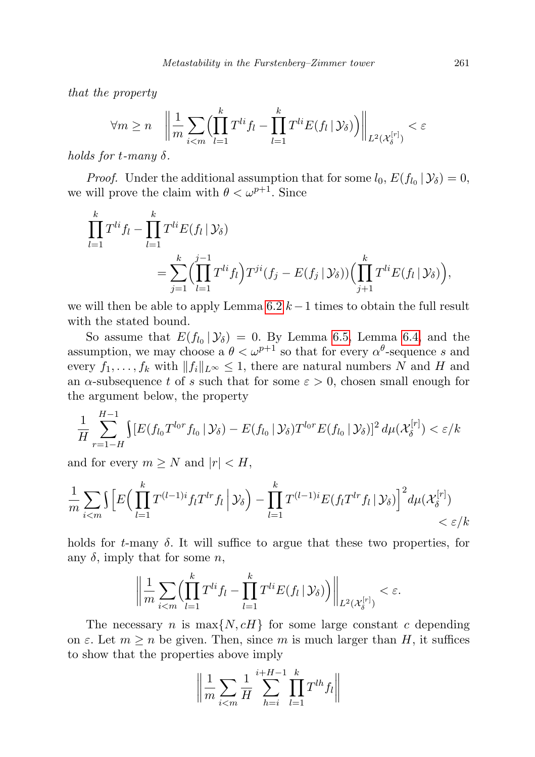that the property

$$
\forall m \ge n \quad \left\| \frac{1}{m} \sum_{i < m} \left( \prod_{l=1}^k T^{li} f_l - \prod_{l=1}^k T^{li} E(f_l \mid \mathcal{Y}_\delta) \right) \right\|_{L^2(\mathcal{X}_\delta^{[r]})} < \varepsilon
$$

holds for  $t$ -many  $\delta$ .

*Proof.* Under the additional assumption that for some  $l_0$ ,  $E(f_{l_0} | \mathcal{Y}_\delta) = 0$ , we will prove the claim with  $\theta < \omega^{p+1}$ . Since

$$
\prod_{l=1}^{k} T^{li} f_l - \prod_{l=1}^{k} T^{li} E(f_l | \mathcal{Y}_{\delta})
$$
\n
$$
= \sum_{j=1}^{k} \left( \prod_{l=1}^{j-1} T^{li} f_l \right) T^{ji} (f_j - E(f_j | \mathcal{Y}_{\delta})) \left( \prod_{j+1}^{k} T^{li} E(f_l | \mathcal{Y}_{\delta}) \right),
$$

we will then be able to apply Lemma  $6.2\;k-1$  times to obtain the full result with the stated bound.

So assume that  $E(f_{l_0} | \mathcal{Y}_\delta) = 0$ . By Lemma [6.5,](#page-16-0) Lemma [6.4,](#page-15-0) and the assumption, we may choose a  $\theta < \omega^{p+1}$  so that for every  $\alpha^{\theta}$ -sequence s and every  $f_1, \ldots, f_k$  with  $||f_i||_{L^{\infty}} \leq 1$ , there are natural numbers N and H and an  $\alpha$ -subsequence t of s such that for some  $\varepsilon > 0$ , chosen small enough for the argument below, the property

$$
\frac{1}{H} \sum_{r=1-H}^{H-1} \int [E(f_{l_0} T^{l_0 r} f_{l_0} | \mathcal{Y}_{\delta}) - E(f_{l_0} | \mathcal{Y}_{\delta}) T^{l_0 r} E(f_{l_0} | \mathcal{Y}_{\delta})]^2 d\mu(\mathcal{X}_{\delta}^{[r]}) < \varepsilon / k
$$

and for every  $m \geq N$  and  $|r| < H$ ,

$$
\frac{1}{m}\sum_{i
$$

holds for t-many  $\delta$ . It will suffice to argue that these two properties, for any  $\delta$ , imply that for some n,

$$
\bigg\|\frac{1}{m}\sum_{i
$$

The necessary *n* is  $\max\{N, cH\}$  for some large constant *c* depending on  $\varepsilon$ . Let  $m \geq n$  be given. Then, since m is much larger than H, it suffices to show that the properties above imply

$$
\left\| \frac{1}{m} \sum_{i < m} \frac{1}{H} \sum_{h=i}^{i+H-1} \prod_{l=1}^{k} T^{lh} f_l \right\|
$$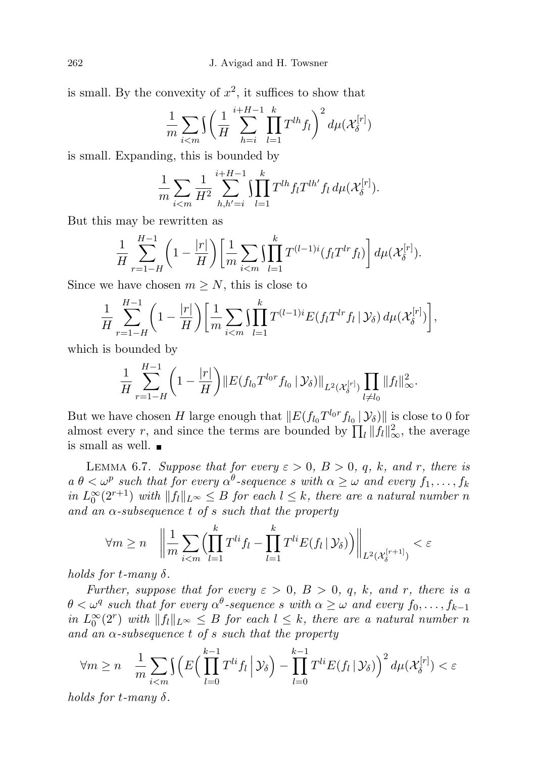is small. By the convexity of  $x^2$ , it suffices to show that

$$
\frac{1}{m}\sum_{i
$$

is small. Expanding, this is bounded by

$$
\frac{1}{m} \sum_{i < m} \frac{1}{H^2} \sum_{h,h'=i}^{i+H-1} \prod_{l=1}^k T^{lh} f_l T^{lh'} f_l d\mu(\mathcal{X}_{\delta}^{[r]}).
$$

But this may be rewritten as

$$
\frac{1}{H} \sum_{r=1-H}^{H-1} \left(1 - \frac{|r|}{H}\right) \left[ \frac{1}{m} \sum_{i < m} \prod_{l=1}^{k} T^{(l-1)i} (f_l T^{lr} f_l) \right] d\mu(\mathcal{X}_{\delta}^{[r]}).
$$

Since we have chosen  $m \geq N$ , this is close to

$$
\frac{1}{H} \sum_{r=1-H}^{H-1} \left(1 - \frac{|r|}{H}\right) \left[ \frac{1}{m} \sum_{i < m} \prod_{l=1}^{k} T^{(l-1)i} E(f_l T^{lr} f_l \, | \, \mathcal{Y}_\delta) \, d\mu(\mathcal{X}_{\delta}^{[r]}) \right],
$$

which is bounded by

$$
\frac{1}{H} \sum_{r=1-H}^{H-1} \left(1 - \frac{|r|}{H}\right) \left\| E(f_{l_0} T^{l_0 r} f_{l_0} \,|\, \mathcal{Y}_\delta) \right\|_{L^2(\mathcal{X}_\delta^{[r]})} \prod_{l \neq l_0} \|f_l\|_{\infty}^2.
$$

But we have chosen H large enough that  $||E(f_{l_0}T^{l_0r}f_{l_0} | \mathcal{Y}_\delta)||$  is close to 0 for almost every r, and since the terms are bounded by  $\prod_l ||f_l||_{\infty}^2$ , the average is small as well.

<span id="page-19-0"></span>LEMMA 6.7. Suppose that for every  $\varepsilon > 0$ ,  $B > 0$ , q, k, and r, there is  $a \theta < \omega^p$  such that for every  $\alpha^{\theta}$ -sequence s with  $\alpha \geq \omega$  and every  $f_1, \ldots, f_k$ in  $L_0^{\infty}(2^{r+1})$  with  $||f_l||_{L^{\infty}} \leq B$  for each  $l \leq k$ , there are a natural number n and an  $\alpha$ -subsequence t of s such that the property

$$
\forall m \ge n \quad \left\| \frac{1}{m} \sum_{i < m} \left( \prod_{l=1}^k T^{li} f_l - \prod_{l=1}^k T^{li} E(f_l | \mathcal{Y}_\delta) \right) \right\|_{L^2(\mathcal{X}_\delta^{[r+1]})} < \varepsilon
$$

holds for  $t$ -many  $\delta$ .

Further, suppose that for every  $\varepsilon > 0$ ,  $B > 0$ ,  $q$ ,  $k$ , and r, there is a  $\theta < \omega^q$  such that for every  $\alpha^{\theta}$ -sequence s with  $\alpha \geq \omega$  and every  $f_0, \ldots, f_{k-1}$ in  $L_0^{\infty}(2^r)$  with  $||f_l||_{L^{\infty}} \leq B$  for each  $l \leq k$ , there are a natural number n and an  $\alpha$ -subsequence t of s such that the property

$$
\forall m \ge n \quad \frac{1}{m} \sum_{i < m} \int \left( E\left( \prod_{l=0}^{k-1} T^{li} f_l \, \middle| \, \mathcal{Y}_\delta \right) - \prod_{l=0}^{k-1} T^{li} E(f_l \, \middle| \, \mathcal{Y}_\delta \right) \right)^2 d\mu(\mathcal{X}_\delta^{[r]}) < \varepsilon
$$

holds for t-many  $\delta$ .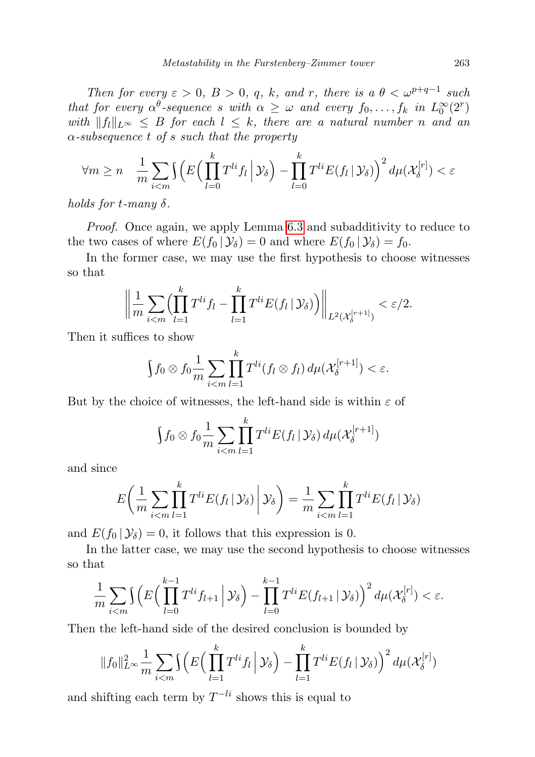Then for every  $\varepsilon > 0$ ,  $B > 0$ ,  $q$ ,  $k$ , and  $r$ , there is a  $\theta < \omega^{p+q-1}$  such that for every  $\alpha^{\theta}$ -sequence s with  $\alpha \geq \omega$  and every  $f_0, \ldots, f_k$  in  $L_0^{\infty}(2^r)$ with  $||f_l||_{L^{\infty}} \leq B$  for each  $l \leq k$ , there are a natural number n and an  $\alpha$ -subsequence t of s such that the property

$$
\forall m \ge n \quad \frac{1}{m} \sum_{i < m} \left( E\left( \prod_{l=0}^k T^{li} f_l \, \middle| \, \mathcal{Y}_\delta \right) - \prod_{l=0}^k T^{li} E(f_l \, \middle| \, \mathcal{Y}_\delta \right) \right)^2 d\mu(\mathcal{X}_\delta^{[r]}) < \varepsilon
$$

holds for  $t$ -many  $\delta$ .

Proof. Once again, we apply Lemma [6.3](#page-14-1) and subadditivity to reduce to the two cases of where  $E(f_0 | \mathcal{Y}_\delta) = 0$  and where  $E(f_0 | \mathcal{Y}_\delta) = f_0$ .

In the former case, we may use the first hypothesis to choose witnesses so that

$$
\left\|\frac{1}{m}\sum_{i
$$

Then it suffices to show

$$
\int f_0 \otimes f_0 \frac{1}{m} \sum_{i < m} \prod_{l=1}^k T^{li}(f_l \otimes f_l) \, d\mu(\mathcal{X}_{\delta}^{[r+1]}) < \varepsilon.
$$

But by the choice of witnesses, the left-hand side is within  $\varepsilon$  of

$$
\int f_0 \otimes f_0 \frac{1}{m} \sum_{i < m} \prod_{l=1}^k T^{li} E(f_l | \mathcal{Y}_\delta) d\mu(\mathcal{X}_\delta^{[r+1]})
$$

and since

$$
E\left(\frac{1}{m}\sum_{i
$$

and  $E(f_0 | \mathcal{Y}_\delta) = 0$ , it follows that this expression is 0.

In the latter case, we may use the second hypothesis to choose witnesses so that

$$
\frac{1}{m}\sum_{i
$$

Then the left-hand side of the desired conclusion is bounded by

$$
||f_0||_{L^{\infty}}^2 \frac{1}{m} \sum_{i < m} \int \left( E\left( \prod_{l=1}^k T^{li} f_l \, \middle| \, \mathcal{Y}_\delta \right) - \prod_{l=1}^k T^{li} E(f_l \, \middle| \, \mathcal{Y}_\delta \right) \right)^2 d\mu(\mathcal{X}_\delta^{[r]})
$$

and shifting each term by  $T^{-li}$  shows this is equal to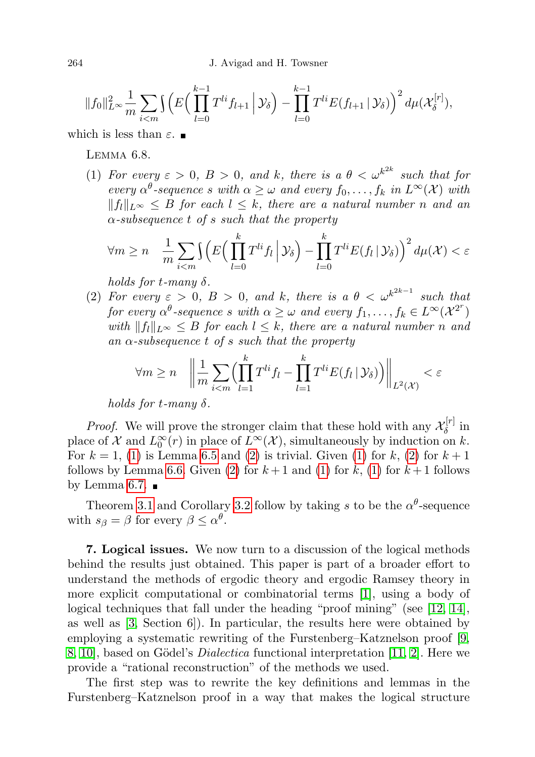$$
||f_0||_{L^{\infty}}^2 \frac{1}{m} \sum_{i < m} \int \left( E\left( \prod_{l=0}^{k-1} T^{li} f_{l+1} \, \Big| \, \mathcal{Y}_{\delta} \right) - \prod_{l=0}^{k-1} T^{li} E(f_{l+1} \, \Big| \, \mathcal{Y}_{\delta} \right)^2 d\mu(\mathcal{X}_{\delta}^{[r]}),
$$

<span id="page-21-1"></span>which is less than  $\varepsilon$ .

Lemma 6.8.

<span id="page-21-2"></span>(1) For every  $\varepsilon > 0$ ,  $B > 0$ , and k, there is a  $\theta < \omega^{k^{2k}}$  such that for every  $\alpha^{\theta}$ -sequence s with  $\alpha \geq \omega$  and every  $f_0, \ldots, f_k$  in  $L^{\infty}(\mathcal{X})$  with  $||f_l||_{L^{\infty}} \leq B$  for each  $l \leq k$ , there are a natural number n and an  $\alpha$ -subsequence t of s such that the property

$$
\forall m \ge n \quad \frac{1}{m} \sum_{i < m} \left( E\left( \prod_{l=0}^k T^{li} f_l \, \middle| \, \mathcal{Y}_\delta \right) - \prod_{l=0}^k T^{li} E(f_l \, \middle| \, \mathcal{Y}_\delta \right) \right)^2 d\mu(\mathcal{X}) < \varepsilon
$$

holds for t-many  $\delta$ .

<span id="page-21-3"></span>(2) For every  $\varepsilon > 0$ ,  $B > 0$ , and k, there is a  $\theta < \omega^{k^{2k-1}}$  such that for every  $\alpha^{\theta}$ -sequence s with  $\alpha \geq \omega$  and every  $f_1,\ldots,f_k \in L^{\infty}(\mathcal{X}^{2^r})$ with  $||f_l||_{L^{\infty}} \leq B$  for each  $l \leq k$ , there are a natural number n and an  $\alpha$ -subsequence t of s such that the property

$$
\forall m \ge n \quad \left\| \frac{1}{m} \sum_{i < m} \left( \prod_{l=1}^k T^{li} f_l - \prod_{l=1}^k T^{li} E(f_l | \mathcal{Y}_\delta) \right) \right\|_{L^2(\mathcal{X})} < \varepsilon
$$

holds for t-many  $\delta$ .

*Proof.* We will prove the stronger claim that these hold with any  $\mathcal{X}_{\delta}^{[r]}$  in *Froof.* We will prove the stronger claim that these hold with any  $\alpha_{\delta}$  in place of X and  $L_0^{\infty}(r)$  in place of  $L^{\infty}(\mathcal{X})$ , simultaneously by induction on k. For  $k = 1$ , [\(1\)](#page-21-2) is Lemma [6.5](#page-16-0) and [\(2\)](#page-21-3) is trivial. Given (1) for k, (2) for  $k + 1$ follows by Lemma [6.6.](#page-17-0) Given [\(2\)](#page-21-3) for  $k+1$  and [\(1\)](#page-21-2) for  $k$ , (1) for  $k+1$  follows by Lemma [6.7.](#page-19-0)  $\blacksquare$ 

Theorem [3.1](#page-5-1) and Corollary [3.2](#page-5-2) follow by taking s to be the  $\alpha^{\theta}$ -sequence with  $s_{\beta} = \beta$  for every  $\beta \leq \alpha^{\theta}$ .

<span id="page-21-0"></span>7. Logical issues. We now turn to a discussion of the logical methods behind the results just obtained. This paper is part of a broader effort to understand the methods of ergodic theory and ergodic Ramsey theory in more explicit computational or combinatorial terms [\[1\]](#page-24-10), using a body of logical techniques that fall under the heading "proof mining" (see [\[12,](#page-24-11) [14\]](#page-24-12), as well as  $[3, Section 6]$  $[3, Section 6]$ . In particular, the results here were obtained by employing a systematic rewriting of the Furstenberg–Katznelson proof [\[9,](#page-24-1) [8,](#page-24-3) 10, based on Gödel's *Dialectica* functional interpretation  $[11, 2]$  $[11, 2]$ . Here we provide a "rational reconstruction" of the methods we used.

The first step was to rewrite the key definitions and lemmas in the Furstenberg–Katznelson proof in a way that makes the logical structure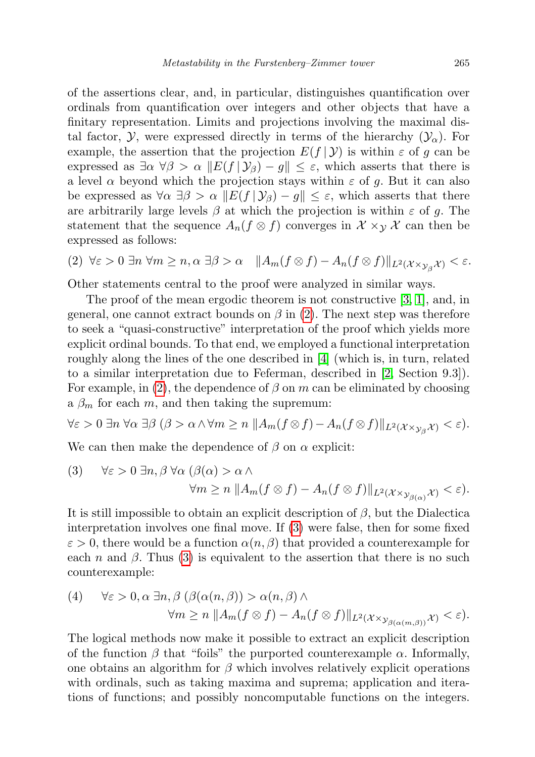of the assertions clear, and, in particular, distinguishes quantification over ordinals from quantification over integers and other objects that have a finitary representation. Limits and projections involving the maximal distal factor,  $\mathcal{Y}$ , were expressed directly in terms of the hierarchy  $(\mathcal{Y}_\alpha)$ . For example, the assertion that the projection  $E(f | Y)$  is within  $\varepsilon$  of g can be expressed as  $\exists \alpha \forall \beta > \alpha \Vert E(f | \mathcal{Y}_\beta) - g \Vert \leq \varepsilon$ , which asserts that there is a level  $\alpha$  beyond which the projection stays within  $\varepsilon$  of g. But it can also be expressed as  $\forall \alpha \exists \beta > \alpha \Vert E(f | \mathcal{Y}_{\beta}) - g \Vert \leq \varepsilon$ , which asserts that there are arbitrarily large levels  $\beta$  at which the projection is within  $\varepsilon$  of g. The statement that the sequence  $A_n(f \otimes f)$  converges in  $\mathcal{X} \times_{\mathcal{Y}} \mathcal{X}$  can then be expressed as follows:

<span id="page-22-0"></span>
$$
(2) \ \forall \varepsilon > 0 \ \exists n \ \forall m \ge n, \alpha \ \exists \beta > \alpha \quad \|A_m(f \otimes f) - A_n(f \otimes f)\|_{L^2(\mathcal{X} \times \mathcal{Y}_\beta \mathcal{X})} < \varepsilon.
$$

Other statements central to the proof were analyzed in similar ways.

The proof of the mean ergodic theorem is not constructive [\[3,](#page-24-5) [1\]](#page-24-10), and, in general, one cannot extract bounds on  $\beta$  in [\(2\)](#page-22-0). The next step was therefore to seek a "quasi-constructive" interpretation of the proof which yields more explicit ordinal bounds. To that end, we employed a functional interpretation roughly along the lines of the one described in [\[4\]](#page-24-15) (which is, in turn, related to a similar interpretation due to Feferman, described in [\[2,](#page-24-14) Section 9.3]). For example, in [\(2\)](#page-22-0), the dependence of  $\beta$  on m can be eliminated by choosing a  $\beta_m$  for each m, and then taking the supremum:

$$
\forall \varepsilon > 0 \ \exists n \ \forall \alpha \ \exists \beta \ (\beta > \alpha \land \forall m \ge n \ || A_m(f \otimes f) - A_n(f \otimes f) ||_{L^2(\mathcal{X} \times_{\mathcal{Y}_{\beta}} \mathcal{X})} < \varepsilon).
$$

We can then make the dependence of  $\beta$  on  $\alpha$  explicit:

<span id="page-22-1"></span>(3) 
$$
\forall \varepsilon > 0 \ \exists n, \beta \ \forall \alpha \ (\beta(\alpha) > \alpha \land \ \forall m \ge n \ \|A_m(f \otimes f) - A_n(f \otimes f)\|_{L^2(\mathcal{X} \times \mathcal{Y}_{\beta(\alpha)} \mathcal{X})} < \varepsilon).
$$

It is still impossible to obtain an explicit description of  $\beta$ , but the Dialectica interpretation involves one final move. If [\(3\)](#page-22-1) were false, then for some fixed  $\varepsilon > 0$ , there would be a function  $\alpha(n, \beta)$  that provided a counterexample for each n and  $\beta$ . Thus [\(3\)](#page-22-1) is equivalent to the assertion that there is no such counterexample:

<span id="page-22-2"></span>(4) 
$$
\forall \varepsilon > 0, \alpha \exists n, \beta \left( \beta(\alpha(n, \beta)) > \alpha(n, \beta) \land \forall m \ge n \; ||A_m(f \otimes f) - A_n(f \otimes f)||_{L^2(\mathcal{X} \times \mathcal{Y}_{\beta(\alpha(m, \beta))} \mathcal{X})} < \varepsilon \right).
$$

The logical methods now make it possible to extract an explicit description of the function  $\beta$  that "foils" the purported counterexample  $\alpha$ . Informally, one obtains an algorithm for  $\beta$  which involves relatively explicit operations with ordinals, such as taking maxima and suprema; application and iterations of functions; and possibly noncomputable functions on the integers.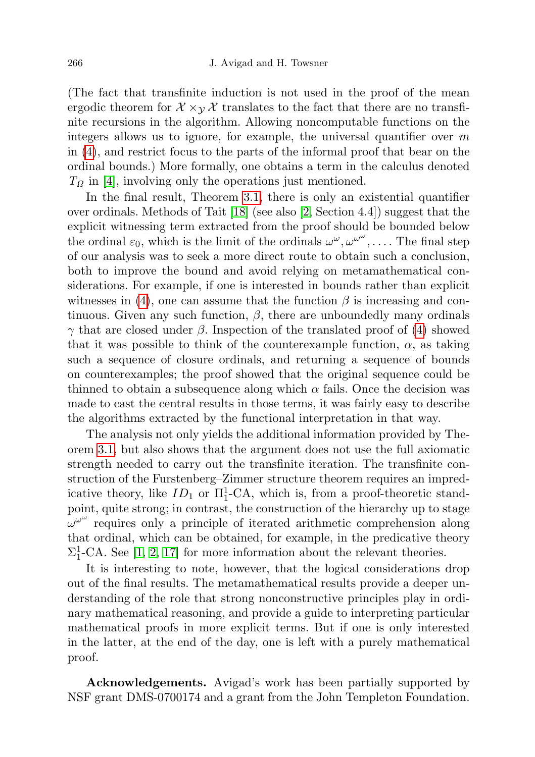(The fact that transfinite induction is not used in the proof of the mean ergodic theorem for  $\mathcal{X} \times_{\mathcal{Y}} \mathcal{X}$  translates to the fact that there are no transfinite recursions in the algorithm. Allowing noncomputable functions on the integers allows us to ignore, for example, the universal quantifier over  $m$ in [\(4\)](#page-22-2), and restrict focus to the parts of the informal proof that bear on the ordinal bounds.) More formally, one obtains a term in the calculus denoted  $T_{\Omega}$  in [\[4\]](#page-24-15), involving only the operations just mentioned.

In the final result, Theorem [3.1,](#page-5-1) there is only an existential quantifier over ordinals. Methods of Tait [\[18\]](#page-24-16) (see also [\[2,](#page-24-14) Section 4.4]) suggest that the explicit witnessing term extracted from the proof should be bounded below the ordinal  $\varepsilon_0$ , which is the limit of the ordinals  $\omega^{\omega}, \omega^{\omega^{\omega}}, \ldots$ . The final step of our analysis was to seek a more direct route to obtain such a conclusion, both to improve the bound and avoid relying on metamathematical considerations. For example, if one is interested in bounds rather than explicit witnesses in [\(4\)](#page-22-2), one can assume that the function  $\beta$  is increasing and continuous. Given any such function,  $\beta$ , there are unboundedly many ordinals  $γ$  that are closed under  $β$ . Inspection of the translated proof of [\(4\)](#page-22-2) showed that it was possible to think of the counterexample function,  $\alpha$ , as taking such a sequence of closure ordinals, and returning a sequence of bounds on counterexamples; the proof showed that the original sequence could be thinned to obtain a subsequence along which  $\alpha$  fails. Once the decision was made to cast the central results in those terms, it was fairly easy to describe the algorithms extracted by the functional interpretation in that way.

The analysis not only yields the additional information provided by Theorem [3.1,](#page-5-1) but also shows that the argument does not use the full axiomatic strength needed to carry out the transfinite iteration. The transfinite construction of the Furstenberg–Zimmer structure theorem requires an impredicative theory, like  $ID_1$  or  $\Pi_1^1$ -CA, which is, from a proof-theoretic standpoint, quite strong; in contrast, the construction of the hierarchy up to stage  $\omega^{\omega^{\omega}}$  requires only a principle of iterated arithmetic comprehension along that ordinal, which can be obtained, for example, in the predicative theory  $\Sigma_1^1$ -CA. See [\[1,](#page-24-10) [2,](#page-24-14) [17\]](#page-24-17) for more information about the relevant theories.

It is interesting to note, however, that the logical considerations drop out of the final results. The metamathematical results provide a deeper understanding of the role that strong nonconstructive principles play in ordinary mathematical reasoning, and provide a guide to interpreting particular mathematical proofs in more explicit terms. But if one is only interested in the latter, at the end of the day, one is left with a purely mathematical proof.

Acknowledgements. Avigad's work has been partially supported by NSF grant DMS-0700174 and a grant from the John Templeton Foundation.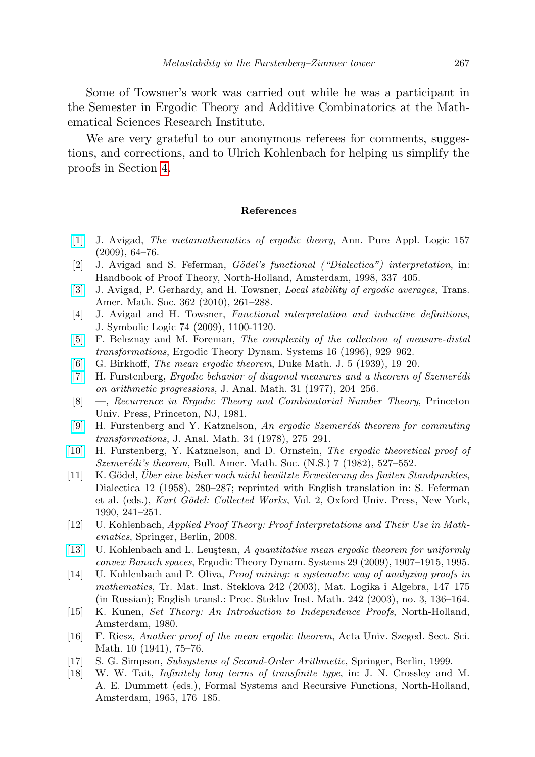Some of Towsner's work was carried out while he was a participant in the Semester in Ergodic Theory and Additive Combinatorics at the Mathematical Sciences Research Institute.

We are very grateful to our anonymous referees for comments, suggestions, and corrections, and to Ulrich Kohlenbach for helping us simplify the proofs in Section [4.](#page-8-0)

## References

- <span id="page-24-10"></span>[\[1\]](http://dx.doi.org/10.1016/j.apal.2008.09.001) J. Avigad, The metamathematics of ergodic theory, Ann. Pure Appl. Logic 157 (2009), 64–76.
- <span id="page-24-14"></span> $[2]$  J. Avigad and S. Feferman, *Gödel's functional ("Dialectica") interpretation*, in: Handbook of Proof Theory, North-Holland, Amsterdam, 1998, 337–405.
- <span id="page-24-5"></span>[\[3\]](http://dx.doi.org/10.1090/S0002-9947-09-04814-4) J. Avigad, P. Gerhardy, and H. Towsner, *Local stability of ergodic averages*, Trans. Amer. Math. Soc. 362 (2010), 261–288.
- <span id="page-24-15"></span>[4] J. Avigad and H. Towsner, Functional interpretation and inductive definitions, J. Symbolic Logic 74 (2009), 1100-1120.
- <span id="page-24-4"></span>[\[5\]](http://dx.doi.org/10.1017/S0143385700010129) F. Beleznay and M. Foreman, The complexity of the collection of measure-distal transformations, Ergodic Theory Dynam. Systems 16 (1996), 929–962.
- <span id="page-24-9"></span>[\[6\]](http://dx.doi.org/10.1215/S0012-7094-39-00502-8) G. Birkhoff, The mean ergodic theorem, Duke Math. J. 5 (1939), 19–20.
- <span id="page-24-0"></span> $[7]$  H. Furstenberg, Ergodic behavior of diagonal measures and a theorem of Szemerédi on arithmetic progressions, J. Anal. Math. 31 (1977), 204–256.
- <span id="page-24-3"></span>[8] —, Recurrence in Ergodic Theory and Combinatorial Number Theory, Princeton Univ. Press, Princeton, NJ, 1981.
- <span id="page-24-1"></span>[\[9\]](http://dx.doi.org/10.1007/BF02790016) H. Furstenberg and Y. Katznelson, An ergodic Szemerédi theorem for commuting transformations, J. Anal. Math. 34 (1978), 275–291.
- <span id="page-24-2"></span>[\[10\]](http://dx.doi.org/10.1090/S0273-0979-1982-15052-2) H. Furstenberg, Y. Katznelson, and D. Ornstein, The ergodic theoretical proof of  $Szemerédi's theorem$ , Bull. Amer. Math. Soc. (N.S.) 7 (1982), 527–552.
- <span id="page-24-13"></span> $[11]$  K. Gödel, Über eine bisher noch nicht benützte Erweiterung des finiten Standpunktes, Dialectica 12 (1958), 280–287; reprinted with English translation in: S. Feferman et al. (eds.), Kurt Gödel: Collected Works, Vol. 2, Oxford Univ. Press, New York, 1990, 241–251.
- <span id="page-24-11"></span>[12] U. Kohlenbach, Applied Proof Theory: Proof Interpretations and Their Use in Mathematics, Springer, Berlin, 2008.
- <span id="page-24-6"></span>[\[13\]](http://dx.doi.org/10.1017/S0143385708001004) U. Kohlenbach and L. Leustean, A quantitative mean ergodic theorem for uniformly convex Banach spaces, Ergodic Theory Dynam. Systems 29 (2009), 1907–1915, 1995.
- <span id="page-24-12"></span>[14] U. Kohlenbach and P. Oliva, Proof mining: a systematic way of analyzing proofs in mathematics, Tr. Mat. Inst. Steklova 242 (2003), Mat. Logika i Algebra, 147–175 (in Russian); English transl.: Proc. Steklov Inst. Math. 242 (2003), no. 3, 136–164.
- <span id="page-24-7"></span>[15] K. Kunen, Set Theory: An Introduction to Independence Proofs, North-Holland, Amsterdam, 1980.
- <span id="page-24-8"></span>[16] F. Riesz, Another proof of the mean ergodic theorem, Acta Univ. Szeged. Sect. Sci. Math. 10 (1941), 75–76.
- <span id="page-24-17"></span>[17] S. G. Simpson, Subsystems of Second-Order Arithmetic, Springer, Berlin, 1999.
- <span id="page-24-16"></span>[18] W. W. Tait, Infinitely long terms of transfinite type, in: J. N. Crossley and M. A. E. Dummett (eds.), Formal Systems and Recursive Functions, North-Holland, Amsterdam, 1965, 176–185.